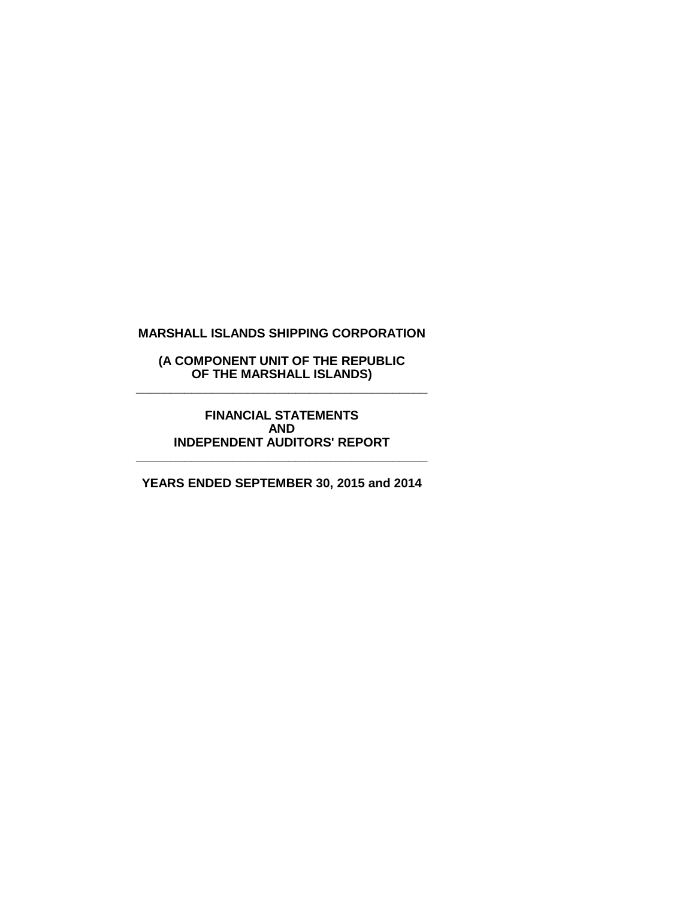**(A COMPONENT UNIT OF THE REPUBLIC OF THE MARSHALL ISLANDS) \_\_\_\_\_\_\_\_\_\_\_\_\_\_\_\_\_\_\_\_\_\_\_\_\_\_\_\_\_\_\_\_\_\_\_\_\_\_\_\_\_\_**

> **FINANCIAL STATEMENTS AND INDEPENDENT AUDITORS' REPORT**

**YEARS ENDED SEPTEMBER 30, 2015 and 2014**

**\_\_\_\_\_\_\_\_\_\_\_\_\_\_\_\_\_\_\_\_\_\_\_\_\_\_\_\_\_\_\_\_\_\_\_\_\_\_\_\_\_\_**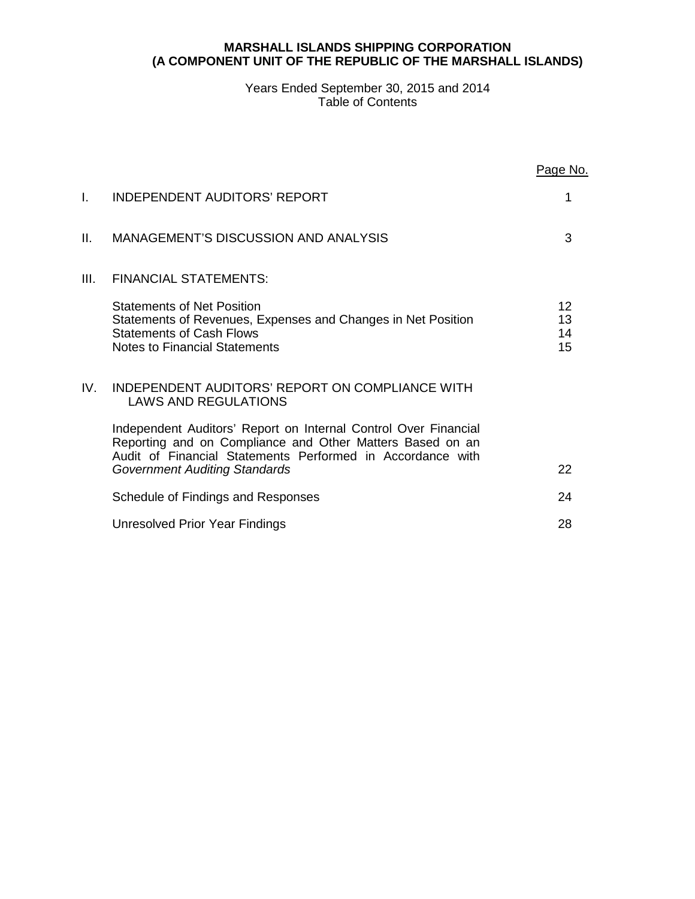## **MARSHALL ISLANDS SHIPPING CORPORATION (A COMPONENT UNIT OF THE REPUBLIC OF THE MARSHALL ISLANDS)**

## Years Ended September 30, 2015 and 2014 Table of Contents

|      |                                                                                                                                                                                                                                    | Page No.             |
|------|------------------------------------------------------------------------------------------------------------------------------------------------------------------------------------------------------------------------------------|----------------------|
| I.   | INDEPENDENT AUDITORS' REPORT                                                                                                                                                                                                       | 1                    |
| Н.   | <b>MANAGEMENT'S DISCUSSION AND ANALYSIS</b>                                                                                                                                                                                        | 3                    |
| III. | <b>FINANCIAL STATEMENTS:</b>                                                                                                                                                                                                       |                      |
|      | <b>Statements of Net Position</b><br>Statements of Revenues, Expenses and Changes in Net Position<br><b>Statements of Cash Flows</b><br><b>Notes to Financial Statements</b>                                                       | 12<br>13<br>14<br>15 |
| IV.  | INDEPENDENT AUDITORS' REPORT ON COMPLIANCE WITH<br><b>LAWS AND REGULATIONS</b>                                                                                                                                                     |                      |
|      | Independent Auditors' Report on Internal Control Over Financial<br>Reporting and on Compliance and Other Matters Based on an<br>Audit of Financial Statements Performed in Accordance with<br><b>Government Auditing Standards</b> | 22                   |
|      | Schedule of Findings and Responses                                                                                                                                                                                                 | 24                   |
|      | Unresolved Prior Year Findings                                                                                                                                                                                                     | 28                   |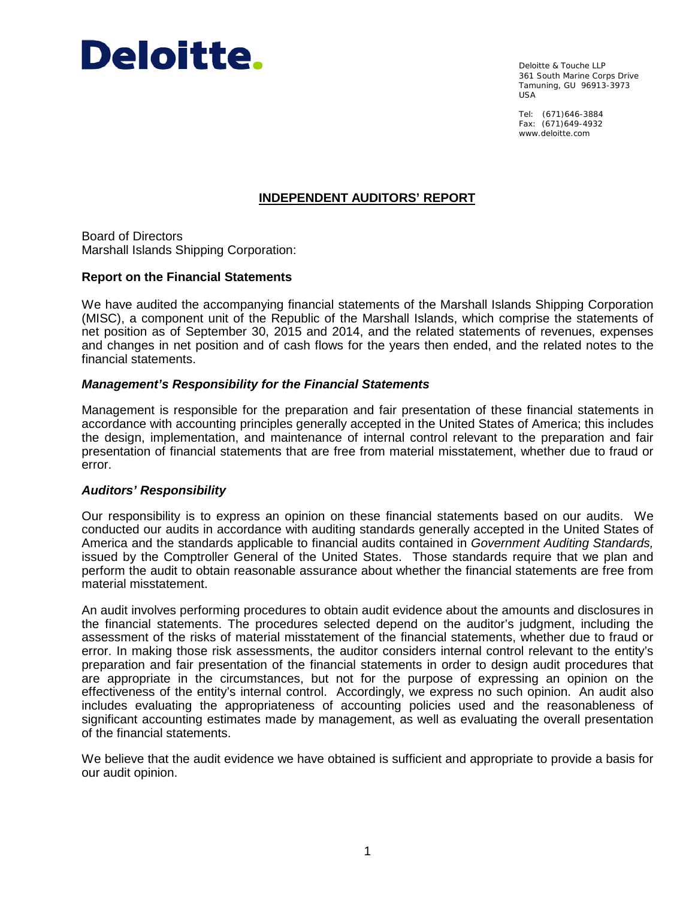

Deloitte & Touche LLP 361 South Marine Corps Drive Tamuning, GU 96913-3973 USA

Tel: (671)646-3884 Fax: (671)649-4932 www.deloitte.com

# **INDEPENDENT AUDITORS' REPORT**

Board of Directors Marshall Islands Shipping Corporation:

## **Report on the Financial Statements**

We have audited the accompanying financial statements of the Marshall Islands Shipping Corporation (MISC), a component unit of the Republic of the Marshall Islands, which comprise the statements of net position as of September 30, 2015 and 2014, and the related statements of revenues, expenses and changes in net position and of cash flows for the years then ended, and the related notes to the financial statements.

## *Management's Responsibility for the Financial Statements*

Management is responsible for the preparation and fair presentation of these financial statements in accordance with accounting principles generally accepted in the United States of America; this includes the design, implementation, and maintenance of internal control relevant to the preparation and fair presentation of financial statements that are free from material misstatement, whether due to fraud or error.

#### *Auditors' Responsibility*

Our responsibility is to express an opinion on these financial statements based on our audits. We conducted our audits in accordance with auditing standards generally accepted in the United States of America and the standards applicable to financial audits contained in *Government Auditing Standards,* issued by the Comptroller General of the United States. Those standards require that we plan and perform the audit to obtain reasonable assurance about whether the financial statements are free from material misstatement.

An audit involves performing procedures to obtain audit evidence about the amounts and disclosures in the financial statements. The procedures selected depend on the auditor's judgment, including the assessment of the risks of material misstatement of the financial statements, whether due to fraud or error. In making those risk assessments, the auditor considers internal control relevant to the entity's preparation and fair presentation of the financial statements in order to design audit procedures that are appropriate in the circumstances, but not for the purpose of expressing an opinion on the effectiveness of the entity's internal control. Accordingly, we express no such opinion. An audit also includes evaluating the appropriateness of accounting policies used and the reasonableness of significant accounting estimates made by management, as well as evaluating the overall presentation of the financial statements.

We believe that the audit evidence we have obtained is sufficient and appropriate to provide a basis for our audit opinion.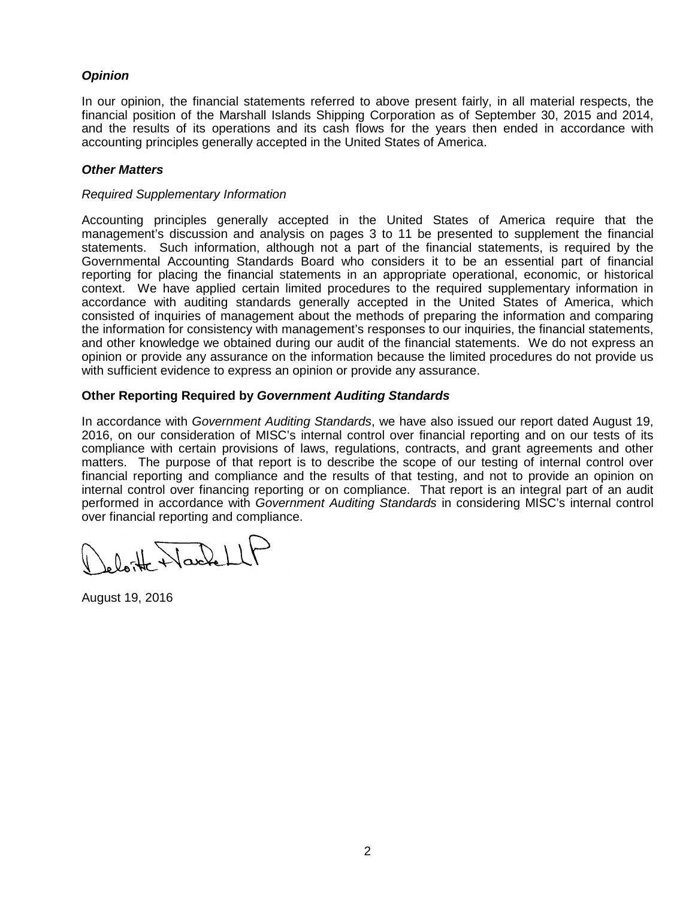# *Opinion*

In our opinion, the financial statements referred to above present fairly, in all material respects, the financial position of the Marshall Islands Shipping Corporation as of September 30, 2015 and 2014, and the results of its operations and its cash flows for the years then ended in accordance with accounting principles generally accepted in the United States of America.

## *Other Matters*

## *Required Supplementary Information*

Accounting principles generally accepted in the United States of America require that the management's discussion and analysis on pages 3 to 11 be presented to supplement the financial statements. Such information, although not a part of the financial statements, is required by the Governmental Accounting Standards Board who considers it to be an essential part of financial reporting for placing the financial statements in an appropriate operational, economic, or historical context. We have applied certain limited procedures to the required supplementary information in accordance with auditing standards generally accepted in the United States of America, which consisted of inquiries of management about the methods of preparing the information and comparing the information for consistency with management's responses to our inquiries, the financial statements, and other knowledge we obtained during our audit of the financial statements. We do not express an opinion or provide any assurance on the information because the limited procedures do not provide us with sufficient evidence to express an opinion or provide any assurance.

# **Other Reporting Required by** *Government Auditing Standards*

In accordance with *Government Auditing Standards*, we have also issued our report dated August 19, 2016, on our consideration of MISC's internal control over financial reporting and on our tests of its compliance with certain provisions of laws, regulations, contracts, and grant agreements and other matters. The purpose of that report is to describe the scope of our testing of internal control over financial reporting and compliance and the results of that testing, and not to provide an opinion on internal control over financing reporting or on compliance. That report is an integral part of an audit performed in accordance with *Government Auditing Standards* in considering MISC's internal control over financial reporting and compliance.

loite Nachell

August 19, 2016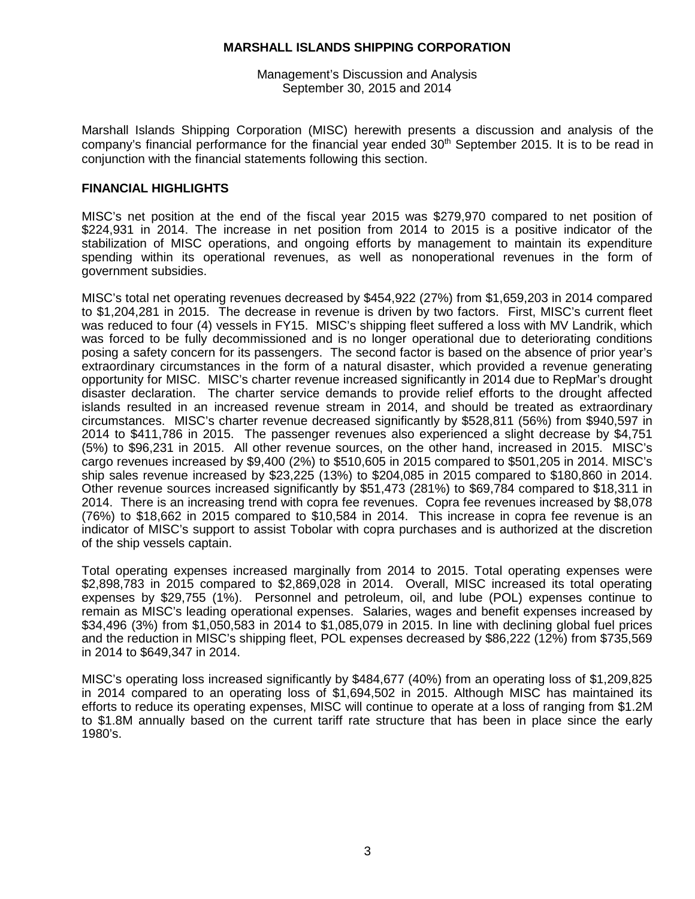Management's Discussion and Analysis September 30, 2015 and 2014

Marshall Islands Shipping Corporation (MISC) herewith presents a discussion and analysis of the company's financial performance for the financial year ended  $30<sup>th</sup>$  September 2015. It is to be read in conjunction with the financial statements following this section.

## **FINANCIAL HIGHLIGHTS**

MISC's net position at the end of the fiscal year 2015 was \$279,970 compared to net position of \$224,931 in 2014. The increase in net position from 2014 to 2015 is a positive indicator of the stabilization of MISC operations, and ongoing efforts by management to maintain its expenditure spending within its operational revenues, as well as nonoperational revenues in the form of government subsidies.

MISC's total net operating revenues decreased by \$454,922 (27%) from \$1,659,203 in 2014 compared to \$1,204,281 in 2015. The decrease in revenue is driven by two factors. First, MISC's current fleet was reduced to four (4) vessels in FY15. MISC's shipping fleet suffered a loss with MV Landrik, which was forced to be fully decommissioned and is no longer operational due to deteriorating conditions posing a safety concern for its passengers. The second factor is based on the absence of prior year's extraordinary circumstances in the form of a natural disaster, which provided a revenue generating opportunity for MISC. MISC's charter revenue increased significantly in 2014 due to RepMar's drought disaster declaration. The charter service demands to provide relief efforts to the drought affected islands resulted in an increased revenue stream in 2014, and should be treated as extraordinary circumstances. MISC's charter revenue decreased significantly by \$528,811 (56%) from \$940,597 in 2014 to \$411,786 in 2015. The passenger revenues also experienced a slight decrease by \$4,751 (5%) to \$96,231 in 2015. All other revenue sources, on the other hand, increased in 2015. MISC's cargo revenues increased by \$9,400 (2%) to \$510,605 in 2015 compared to \$501,205 in 2014. MISC's ship sales revenue increased by \$23,225 (13%) to \$204,085 in 2015 compared to \$180,860 in 2014. Other revenue sources increased significantly by \$51,473 (281%) to \$69,784 compared to \$18,311 in 2014. There is an increasing trend with copra fee revenues. Copra fee revenues increased by \$8,078 (76%) to \$18,662 in 2015 compared to \$10,584 in 2014. This increase in copra fee revenue is an indicator of MISC's support to assist Tobolar with copra purchases and is authorized at the discretion of the ship vessels captain.

Total operating expenses increased marginally from 2014 to 2015. Total operating expenses were \$2,898,783 in 2015 compared to \$2,869,028 in 2014. Overall, MISC increased its total operating expenses by \$29,755 (1%). Personnel and petroleum, oil, and lube (POL) expenses continue to remain as MISC's leading operational expenses. Salaries, wages and benefit expenses increased by \$34,496 (3%) from \$1,050,583 in 2014 to \$1,085,079 in 2015. In line with declining global fuel prices and the reduction in MISC's shipping fleet, POL expenses decreased by \$86,222 (12%) from \$735,569 in 2014 to \$649,347 in 2014.

MISC's operating loss increased significantly by \$484,677 (40%) from an operating loss of \$1,209,825 in 2014 compared to an operating loss of \$1,694,502 in 2015. Although MISC has maintained its efforts to reduce its operating expenses, MISC will continue to operate at a loss of ranging from \$1.2M to \$1.8M annually based on the current tariff rate structure that has been in place since the early 1980's.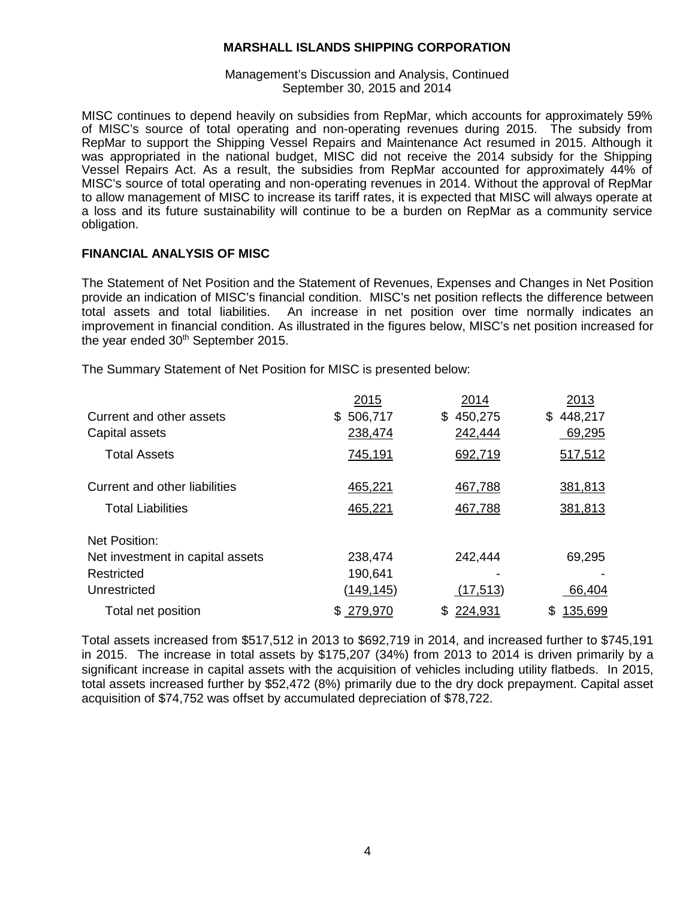## Management's Discussion and Analysis, Continued September 30, 2015 and 2014

MISC continues to depend heavily on subsidies from RepMar, which accounts for approximately 59% of MISC's source of total operating and non-operating revenues during 2015. The subsidy from RepMar to support the Shipping Vessel Repairs and Maintenance Act resumed in 2015. Although it was appropriated in the national budget, MISC did not receive the 2014 subsidy for the Shipping Vessel Repairs Act. As a result, the subsidies from RepMar accounted for approximately 44% of MISC's source of total operating and non-operating revenues in 2014. Without the approval of RepMar to allow management of MISC to increase its tariff rates, it is expected that MISC will always operate at a loss and its future sustainability will continue to be a burden on RepMar as a community service obligation.

# **FINANCIAL ANALYSIS OF MISC**

The Statement of Net Position and the Statement of Revenues, Expenses and Changes in Net Position provide an indication of MISC's financial condition. MISC's net position reflects the difference between total assets and total liabilities. An increase in net position over time normally indicates an improvement in financial condition. As illustrated in the figures below, MISC's net position increased for the year ended 30<sup>th</sup> September 2015.

The Summary Statement of Net Position for MISC is presented below:

|                                  | 2015          | 2014           | 2013           |
|----------------------------------|---------------|----------------|----------------|
| Current and other assets         | 506,717<br>\$ | 450,275<br>\$. | 448,217<br>\$. |
| Capital assets                   | 238,474       | 242,444        | 69,295         |
| <b>Total Assets</b>              | 745,191       | 692,719        | 517,512        |
| Current and other liabilities    | 465,221       | 467,788        | 381,813        |
| <b>Total Liabilities</b>         | 465,221       | 467,788        | 381,813        |
| Net Position:                    |               |                |                |
| Net investment in capital assets | 238,474       | 242,444        | 69,295         |
| Restricted                       | 190,641       |                |                |
| Unrestricted                     | (149, 145)    | (17, 513)      | 66,404         |
| Total net position               | \$279,970     | 224,931<br>\$  | 135,699<br>\$  |

Total assets increased from \$517,512 in 2013 to \$692,719 in 2014, and increased further to \$745,191 in 2015. The increase in total assets by \$175,207 (34%) from 2013 to 2014 is driven primarily by a significant increase in capital assets with the acquisition of vehicles including utility flatbeds. In 2015, total assets increased further by \$52,472 (8%) primarily due to the dry dock prepayment. Capital asset acquisition of \$74,752 was offset by accumulated depreciation of \$78,722.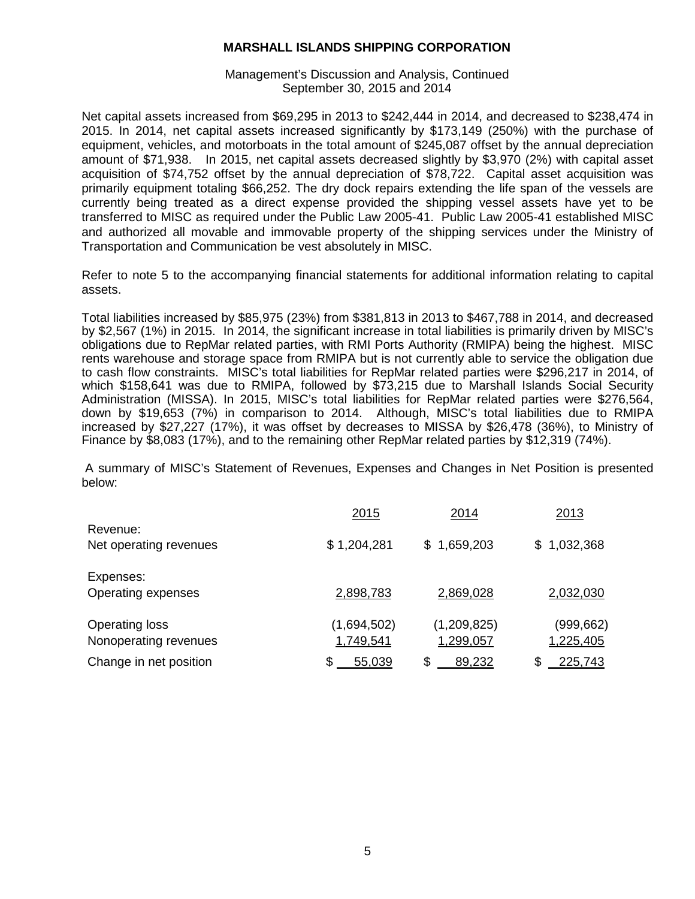Management's Discussion and Analysis, Continued September 30, 2015 and 2014

Net capital assets increased from \$69,295 in 2013 to \$242,444 in 2014, and decreased to \$238,474 in 2015. In 2014, net capital assets increased significantly by \$173,149 (250%) with the purchase of equipment, vehicles, and motorboats in the total amount of \$245,087 offset by the annual depreciation amount of \$71,938. In 2015, net capital assets decreased slightly by \$3,970 (2%) with capital asset acquisition of \$74,752 offset by the annual depreciation of \$78,722. Capital asset acquisition was primarily equipment totaling \$66,252. The dry dock repairs extending the life span of the vessels are currently being treated as a direct expense provided the shipping vessel assets have yet to be transferred to MISC as required under the Public Law 2005-41. Public Law 2005-41 established MISC and authorized all movable and immovable property of the shipping services under the Ministry of Transportation and Communication be vest absolutely in MISC.

Refer to note 5 to the accompanying financial statements for additional information relating to capital assets.

Total liabilities increased by \$85,975 (23%) from \$381,813 in 2013 to \$467,788 in 2014, and decreased by \$2,567 (1%) in 2015. In 2014, the significant increase in total liabilities is primarily driven by MISC's obligations due to RepMar related parties, with RMI Ports Authority (RMIPA) being the highest. MISC rents warehouse and storage space from RMIPA but is not currently able to service the obligation due to cash flow constraints. MISC's total liabilities for RepMar related parties were \$296,217 in 2014, of which \$158,641 was due to RMIPA, followed by \$73,215 due to Marshall Islands Social Security Administration (MISSA). In 2015, MISC's total liabilities for RepMar related parties were \$276,564, down by \$19,653 (7%) in comparison to 2014. Although, MISC's total liabilities due to RMIPA increased by \$27,227 (17%), it was offset by decreases to MISSA by \$26,478 (36%), to Ministry of Finance by \$8,083 (17%), and to the remaining other RepMar related parties by \$12,319 (74%).

A summary of MISC's Statement of Revenues, Expenses and Changes in Net Position is presented below:

|                                                | 2015                     | 2014                     | 2013                    |
|------------------------------------------------|--------------------------|--------------------------|-------------------------|
| Revenue:<br>Net operating revenues             | \$1,204,281              | \$1,659,203              | \$1,032,368             |
| Expenses:<br>Operating expenses                | 2,898,783                | 2,869,028                | 2,032,030               |
| <b>Operating loss</b><br>Nonoperating revenues | (1,694,502)<br>1,749,541 | (1,209,825)<br>1,299,057 | (999, 662)<br>1,225,405 |
| Change in net position                         | \$<br>55,039             | \$<br>89,232             | \$<br>225,743           |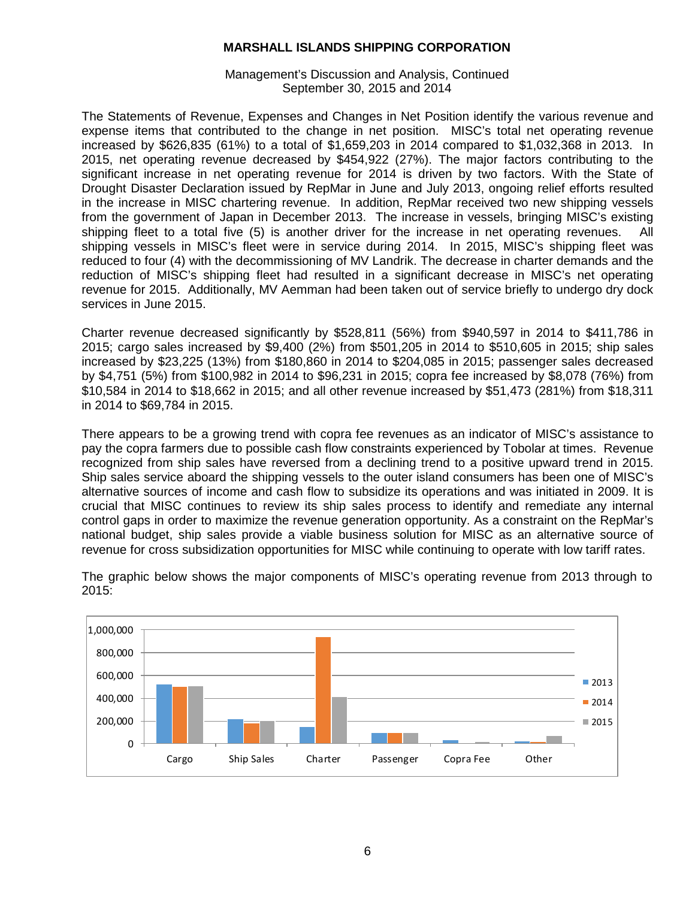Management's Discussion and Analysis, Continued September 30, 2015 and 2014

The Statements of Revenue, Expenses and Changes in Net Position identify the various revenue and expense items that contributed to the change in net position. MISC's total net operating revenue increased by \$626,835 (61%) to a total of \$1,659,203 in 2014 compared to \$1,032,368 in 2013. In 2015, net operating revenue decreased by \$454,922 (27%). The major factors contributing to the significant increase in net operating revenue for 2014 is driven by two factors. With the State of Drought Disaster Declaration issued by RepMar in June and July 2013, ongoing relief efforts resulted in the increase in MISC chartering revenue. In addition, RepMar received two new shipping vessels from the government of Japan in December 2013. The increase in vessels, bringing MISC's existing shipping fleet to a total five (5) is another driver for the increase in net operating revenues. All shipping vessels in MISC's fleet were in service during 2014. In 2015, MISC's shipping fleet was reduced to four (4) with the decommissioning of MV Landrik. The decrease in charter demands and the reduction of MISC's shipping fleet had resulted in a significant decrease in MISC's net operating revenue for 2015. Additionally, MV Aemman had been taken out of service briefly to undergo dry dock services in June 2015.

Charter revenue decreased significantly by \$528,811 (56%) from \$940,597 in 2014 to \$411,786 in 2015; cargo sales increased by \$9,400 (2%) from \$501,205 in 2014 to \$510,605 in 2015; ship sales increased by \$23,225 (13%) from \$180,860 in 2014 to \$204,085 in 2015; passenger sales decreased by \$4,751 (5%) from \$100,982 in 2014 to \$96,231 in 2015; copra fee increased by \$8,078 (76%) from \$10,584 in 2014 to \$18,662 in 2015; and all other revenue increased by \$51,473 (281%) from \$18,311 in 2014 to \$69,784 in 2015.

There appears to be a growing trend with copra fee revenues as an indicator of MISC's assistance to pay the copra farmers due to possible cash flow constraints experienced by Tobolar at times. Revenue recognized from ship sales have reversed from a declining trend to a positive upward trend in 2015. Ship sales service aboard the shipping vessels to the outer island consumers has been one of MISC's alternative sources of income and cash flow to subsidize its operations and was initiated in 2009. It is crucial that MISC continues to review its ship sales process to identify and remediate any internal control gaps in order to maximize the revenue generation opportunity. As a constraint on the RepMar's national budget, ship sales provide a viable business solution for MISC as an alternative source of revenue for cross subsidization opportunities for MISC while continuing to operate with low tariff rates.



The graphic below shows the major components of MISC's operating revenue from 2013 through to 2015: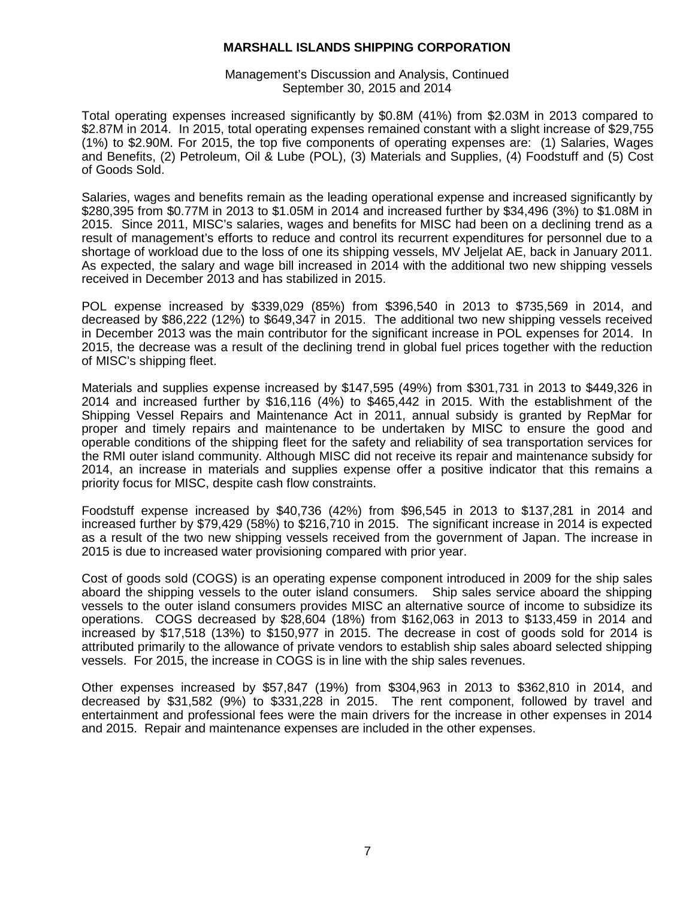Management's Discussion and Analysis, Continued September 30, 2015 and 2014

Total operating expenses increased significantly by \$0.8M (41%) from \$2.03M in 2013 compared to \$2.87M in 2014. In 2015, total operating expenses remained constant with a slight increase of \$29,755 (1%) to \$2.90M. For 2015, the top five components of operating expenses are: (1) Salaries, Wages and Benefits, (2) Petroleum, Oil & Lube (POL), (3) Materials and Supplies, (4) Foodstuff and (5) Cost of Goods Sold.

Salaries, wages and benefits remain as the leading operational expense and increased significantly by \$280,395 from \$0.77M in 2013 to \$1.05M in 2014 and increased further by \$34,496 (3%) to \$1.08M in 2015. Since 2011, MISC's salaries, wages and benefits for MISC had been on a declining trend as a result of management's efforts to reduce and control its recurrent expenditures for personnel due to a shortage of workload due to the loss of one its shipping vessels, MV Jeljelat AE, back in January 2011. As expected, the salary and wage bill increased in 2014 with the additional two new shipping vessels received in December 2013 and has stabilized in 2015.

POL expense increased by \$339,029 (85%) from \$396,540 in 2013 to \$735,569 in 2014, and decreased by \$86,222 (12%) to \$649,347 in 2015. The additional two new shipping vessels received in December 2013 was the main contributor for the significant increase in POL expenses for 2014. In 2015, the decrease was a result of the declining trend in global fuel prices together with the reduction of MISC's shipping fleet.

Materials and supplies expense increased by \$147,595 (49%) from \$301,731 in 2013 to \$449,326 in 2014 and increased further by \$16,116 (4%) to \$465,442 in 2015. With the establishment of the Shipping Vessel Repairs and Maintenance Act in 2011, annual subsidy is granted by RepMar for proper and timely repairs and maintenance to be undertaken by MISC to ensure the good and operable conditions of the shipping fleet for the safety and reliability of sea transportation services for the RMI outer island community. Although MISC did not receive its repair and maintenance subsidy for 2014, an increase in materials and supplies expense offer a positive indicator that this remains a priority focus for MISC, despite cash flow constraints.

Foodstuff expense increased by \$40,736 (42%) from \$96,545 in 2013 to \$137,281 in 2014 and increased further by \$79,429 (58%) to \$216,710 in 2015. The significant increase in 2014 is expected as a result of the two new shipping vessels received from the government of Japan. The increase in 2015 is due to increased water provisioning compared with prior year.

Cost of goods sold (COGS) is an operating expense component introduced in 2009 for the ship sales aboard the shipping vessels to the outer island consumers. Ship sales service aboard the shipping vessels to the outer island consumers provides MISC an alternative source of income to subsidize its operations. COGS decreased by \$28,604 (18%) from \$162,063 in 2013 to \$133,459 in 2014 and increased by \$17,518 (13%) to \$150,977 in 2015. The decrease in cost of goods sold for 2014 is attributed primarily to the allowance of private vendors to establish ship sales aboard selected shipping vessels. For 2015, the increase in COGS is in line with the ship sales revenues.

Other expenses increased by \$57,847 (19%) from \$304,963 in 2013 to \$362,810 in 2014, and decreased by \$31,582 (9%) to \$331,228 in 2015. The rent component, followed by travel and entertainment and professional fees were the main drivers for the increase in other expenses in 2014 and 2015. Repair and maintenance expenses are included in the other expenses.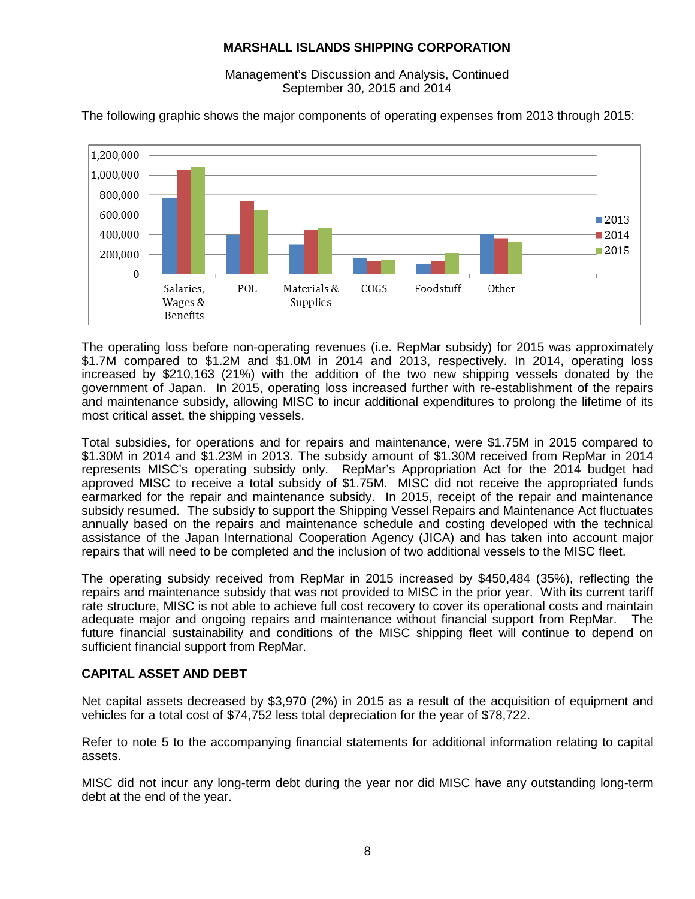Management's Discussion and Analysis, Continued September 30, 2015 and 2014

The following graphic shows the major components of operating expenses from 2013 through 2015:



The operating loss before non-operating revenues (i.e. RepMar subsidy) for 2015 was approximately \$1.7M compared to \$1.2M and \$1.0M in 2014 and 2013, respectively. In 2014, operating loss increased by \$210,163 (21%) with the addition of the two new shipping vessels donated by the government of Japan. In 2015, operating loss increased further with re-establishment of the repairs and maintenance subsidy, allowing MISC to incur additional expenditures to prolong the lifetime of its most critical asset, the shipping vessels.

Total subsidies, for operations and for repairs and maintenance, were \$1.75M in 2015 compared to \$1.30M in 2014 and \$1.23M in 2013. The subsidy amount of \$1.30M received from RepMar in 2014 represents MISC's operating subsidy only. RepMar's Appropriation Act for the 2014 budget had approved MISC to receive a total subsidy of \$1.75M. MISC did not receive the appropriated funds earmarked for the repair and maintenance subsidy. In 2015, receipt of the repair and maintenance subsidy resumed. The subsidy to support the Shipping Vessel Repairs and Maintenance Act fluctuates annually based on the repairs and maintenance schedule and costing developed with the technical assistance of the Japan International Cooperation Agency (JICA) and has taken into account major repairs that will need to be completed and the inclusion of two additional vessels to the MISC fleet.

The operating subsidy received from RepMar in 2015 increased by \$450,484 (35%), reflecting the repairs and maintenance subsidy that was not provided to MISC in the prior year. With its current tariff rate structure, MISC is not able to achieve full cost recovery to cover its operational costs and maintain adequate major and ongoing repairs and maintenance without financial support from RepMar. The future financial sustainability and conditions of the MISC shipping fleet will continue to depend on sufficient financial support from RepMar.

# **CAPITAL ASSET AND DEBT**

Net capital assets decreased by \$3,970 (2%) in 2015 as a result of the acquisition of equipment and vehicles for a total cost of \$74,752 less total depreciation for the year of \$78,722.

Refer to note 5 to the accompanying financial statements for additional information relating to capital assets.

MISC did not incur any long-term debt during the year nor did MISC have any outstanding long-term debt at the end of the year.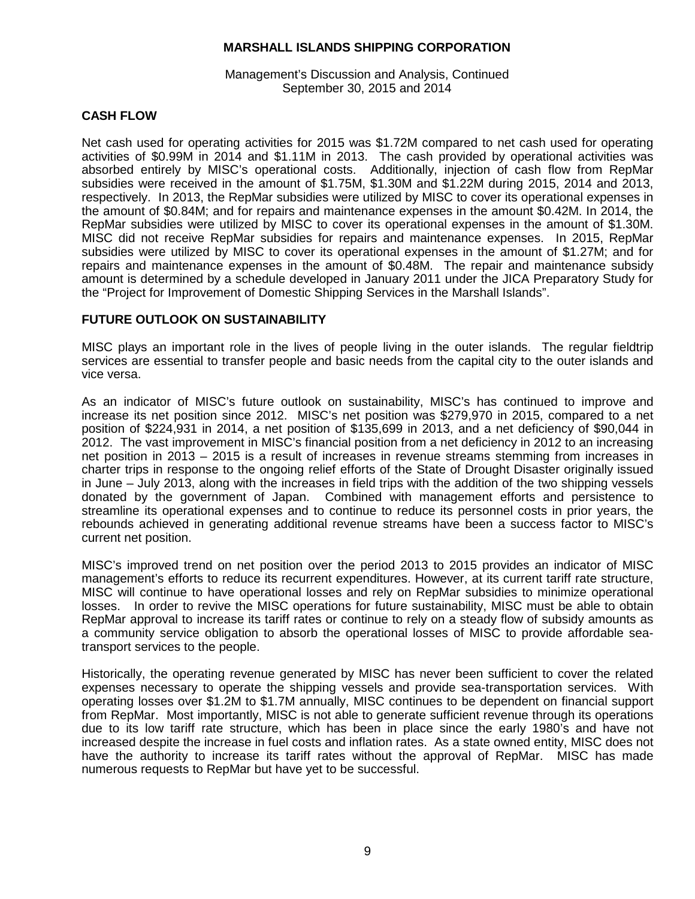Management's Discussion and Analysis, Continued September 30, 2015 and 2014

# **CASH FLOW**

Net cash used for operating activities for 2015 was \$1.72M compared to net cash used for operating activities of \$0.99M in 2014 and \$1.11M in 2013. The cash provided by operational activities was absorbed entirely by MISC's operational costs. Additionally, injection of cash flow from RepMar subsidies were received in the amount of \$1.75M, \$1.30M and \$1.22M during 2015, 2014 and 2013, respectively. In 2013, the RepMar subsidies were utilized by MISC to cover its operational expenses in the amount of \$0.84M; and for repairs and maintenance expenses in the amount \$0.42M. In 2014, the RepMar subsidies were utilized by MISC to cover its operational expenses in the amount of \$1.30M. MISC did not receive RepMar subsidies for repairs and maintenance expenses. In 2015, RepMar subsidies were utilized by MISC to cover its operational expenses in the amount of \$1.27M; and for repairs and maintenance expenses in the amount of \$0.48M. The repair and maintenance subsidy amount is determined by a schedule developed in January 2011 under the JICA Preparatory Study for the "Project for Improvement of Domestic Shipping Services in the Marshall Islands".

# **FUTURE OUTLOOK ON SUSTAINABILITY**

MISC plays an important role in the lives of people living in the outer islands. The regular fieldtrip services are essential to transfer people and basic needs from the capital city to the outer islands and vice versa.

As an indicator of MISC's future outlook on sustainability, MISC's has continued to improve and increase its net position since 2012. MISC's net position was \$279,970 in 2015, compared to a net position of \$224,931 in 2014, a net position of \$135,699 in 2013, and a net deficiency of \$90,044 in 2012. The vast improvement in MISC's financial position from a net deficiency in 2012 to an increasing net position in 2013 – 2015 is a result of increases in revenue streams stemming from increases in charter trips in response to the ongoing relief efforts of the State of Drought Disaster originally issued in June – July 2013, along with the increases in field trips with the addition of the two shipping vessels donated by the government of Japan. Combined with management efforts and persistence to streamline its operational expenses and to continue to reduce its personnel costs in prior years, the rebounds achieved in generating additional revenue streams have been a success factor to MISC's current net position.

MISC's improved trend on net position over the period 2013 to 2015 provides an indicator of MISC management's efforts to reduce its recurrent expenditures. However, at its current tariff rate structure, MISC will continue to have operational losses and rely on RepMar subsidies to minimize operational losses. In order to revive the MISC operations for future sustainability, MISC must be able to obtain RepMar approval to increase its tariff rates or continue to rely on a steady flow of subsidy amounts as a community service obligation to absorb the operational losses of MISC to provide affordable seatransport services to the people.

Historically, the operating revenue generated by MISC has never been sufficient to cover the related expenses necessary to operate the shipping vessels and provide sea-transportation services. With operating losses over \$1.2M to \$1.7M annually, MISC continues to be dependent on financial support from RepMar. Most importantly, MISC is not able to generate sufficient revenue through its operations due to its low tariff rate structure, which has been in place since the early 1980's and have not increased despite the increase in fuel costs and inflation rates. As a state owned entity, MISC does not have the authority to increase its tariff rates without the approval of RepMar. MISC has made numerous requests to RepMar but have yet to be successful.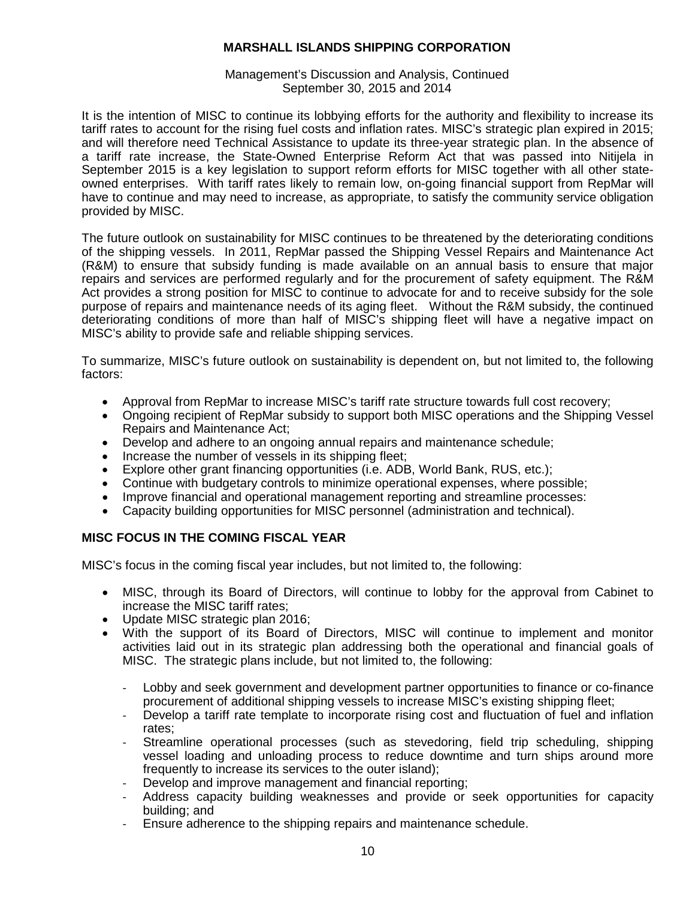## Management's Discussion and Analysis, Continued September 30, 2015 and 2014

It is the intention of MISC to continue its lobbying efforts for the authority and flexibility to increase its tariff rates to account for the rising fuel costs and inflation rates. MISC's strategic plan expired in 2015; and will therefore need Technical Assistance to update its three-year strategic plan. In the absence of a tariff rate increase, the State-Owned Enterprise Reform Act that was passed into Nitijela in September 2015 is a key legislation to support reform efforts for MISC together with all other stateowned enterprises. With tariff rates likely to remain low, on-going financial support from RepMar will have to continue and may need to increase, as appropriate, to satisfy the community service obligation provided by MISC.

The future outlook on sustainability for MISC continues to be threatened by the deteriorating conditions of the shipping vessels. In 2011, RepMar passed the Shipping Vessel Repairs and Maintenance Act (R&M) to ensure that subsidy funding is made available on an annual basis to ensure that major repairs and services are performed regularly and for the procurement of safety equipment. The R&M Act provides a strong position for MISC to continue to advocate for and to receive subsidy for the sole purpose of repairs and maintenance needs of its aging fleet. Without the R&M subsidy, the continued deteriorating conditions of more than half of MISC's shipping fleet will have a negative impact on MISC's ability to provide safe and reliable shipping services.

To summarize, MISC's future outlook on sustainability is dependent on, but not limited to, the following factors:

- Approval from RepMar to increase MISC's tariff rate structure towards full cost recovery;
- Ongoing recipient of RepMar subsidy to support both MISC operations and the Shipping Vessel Repairs and Maintenance Act;
- Develop and adhere to an ongoing annual repairs and maintenance schedule;
- Increase the number of vessels in its shipping fleet;
- Explore other grant financing opportunities (i.e. ADB, World Bank, RUS, etc.);
- Continue with budgetary controls to minimize operational expenses, where possible;
- Improve financial and operational management reporting and streamline processes:
- Capacity building opportunities for MISC personnel (administration and technical).

# **MISC FOCUS IN THE COMING FISCAL YEAR**

MISC's focus in the coming fiscal year includes, but not limited to, the following:

- MISC, through its Board of Directors, will continue to lobby for the approval from Cabinet to increase the MISC tariff rates;
- Update MISC strategic plan 2016;
- With the support of its Board of Directors, MISC will continue to implement and monitor activities laid out in its strategic plan addressing both the operational and financial goals of MISC. The strategic plans include, but not limited to, the following:
	- Lobby and seek government and development partner opportunities to finance or co-finance procurement of additional shipping vessels to increase MISC's existing shipping fleet;
	- Develop a tariff rate template to incorporate rising cost and fluctuation of fuel and inflation rates;
	- Streamline operational processes (such as stevedoring, field trip scheduling, shipping vessel loading and unloading process to reduce downtime and turn ships around more frequently to increase its services to the outer island);
	- Develop and improve management and financial reporting;
	- Address capacity building weaknesses and provide or seek opportunities for capacity building; and
	- Ensure adherence to the shipping repairs and maintenance schedule.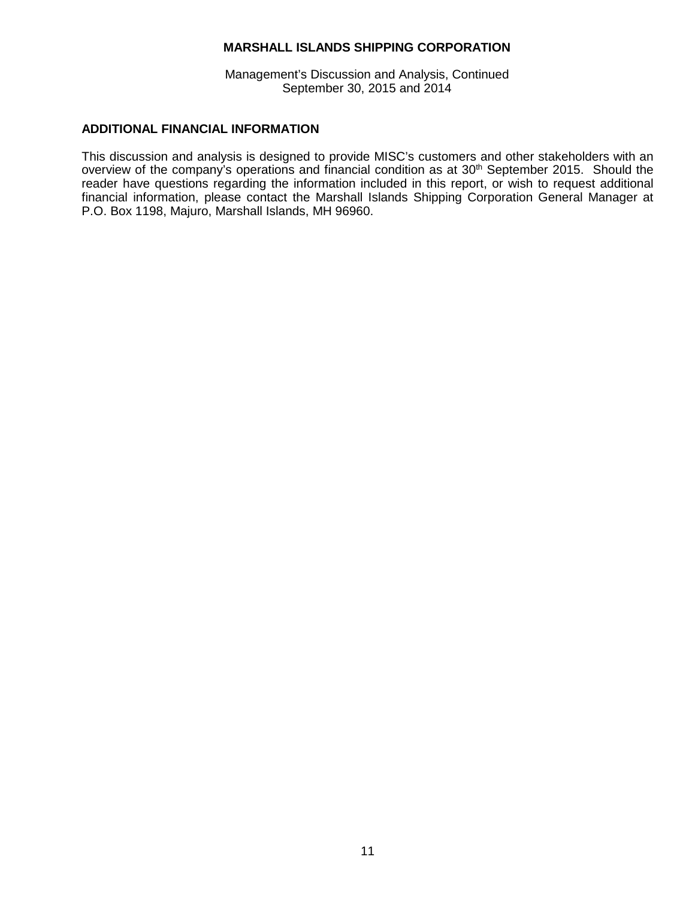Management's Discussion and Analysis, Continued September 30, 2015 and 2014

## **ADDITIONAL FINANCIAL INFORMATION**

This discussion and analysis is designed to provide MISC's customers and other stakeholders with an overview of the company's operations and financial condition as at  $30<sup>th</sup>$  September 2015. Should the reader have questions regarding the information included in this report, or wish to request additional financial information, please contact the Marshall Islands Shipping Corporation General Manager at P.O. Box 1198, Majuro, Marshall Islands, MH 96960.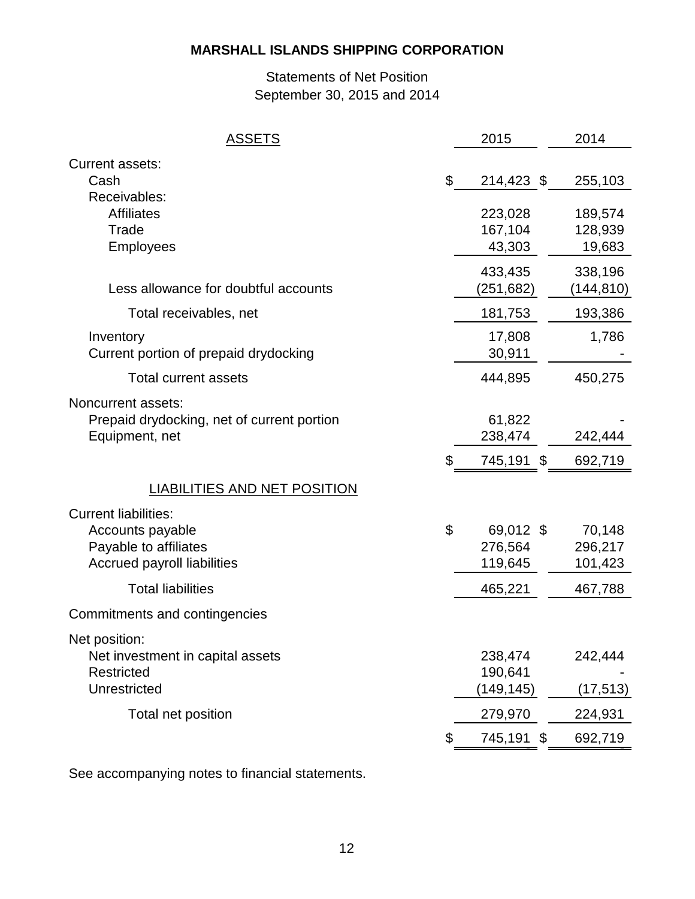# Statements of Net Position September 30, 2015 and 2014

| <b>ASSETS</b>                              | 2015                 | 2014       |
|--------------------------------------------|----------------------|------------|
| Current assets:                            |                      |            |
| Cash                                       | \$<br>214,423 \$     | 255,103    |
| Receivables:                               |                      |            |
| <b>Affiliates</b>                          | 223,028              | 189,574    |
| Trade                                      | 167,104              | 128,939    |
| <b>Employees</b>                           | 43,303               | 19,683     |
|                                            | 433,435              | 338,196    |
| Less allowance for doubtful accounts       | (251, 682)           | (144, 810) |
| Total receivables, net                     | 181,753              | 193,386    |
| Inventory                                  | 17,808               | 1,786      |
| Current portion of prepaid drydocking      | 30,911               |            |
| <b>Total current assets</b>                | 444,895              | 450,275    |
| Noncurrent assets:                         |                      |            |
| Prepaid drydocking, net of current portion | 61,822               |            |
| Equipment, net                             | 238,474              | 242,444    |
|                                            | \$<br>745,191<br>-\$ | 692,719    |
| <b>LIABILITIES AND NET POSITION</b>        |                      |            |
| <b>Current liabilities:</b>                |                      |            |
| Accounts payable                           | \$<br>69,012 \$      | 70,148     |
| Payable to affiliates                      | 276,564              | 296,217    |
| <b>Accrued payroll liabilities</b>         | 119,645              | 101,423    |
| <b>Total liabilities</b>                   | 465,221              | 467,788    |
| Commitments and contingencies              |                      |            |
| Net position:                              |                      |            |
| Net investment in capital assets           | 238,474              | 242,444    |
| <b>Restricted</b>                          | 190,641              |            |
| Unrestricted                               | (149,145)            | (17, 513)  |
| Total net position                         | 279,970              | 224,931    |
|                                            | \$<br>745,191<br>\$  | 692,719    |
|                                            |                      |            |

See accompanying notes to financial statements.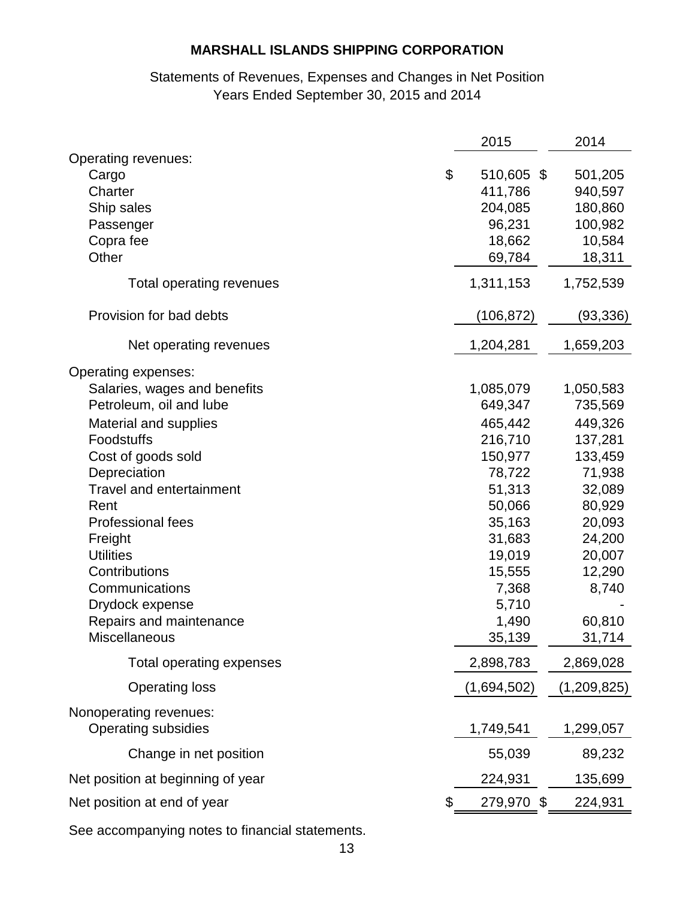# Statements of Revenues, Expenses and Changes in Net Position Years Ended September 30, 2015 and 2014

|                                                      | 2015             | 2014            |
|------------------------------------------------------|------------------|-----------------|
| Operating revenues:<br>Cargo                         | \$<br>510,605 \$ | 501,205         |
| Charter                                              | 411,786          | 940,597         |
| Ship sales                                           | 204,085          | 180,860         |
| Passenger                                            | 96,231           | 100,982         |
| Copra fee                                            | 18,662           | 10,584          |
| Other                                                | 69,784           | 18,311          |
| Total operating revenues                             | 1,311,153        | 1,752,539       |
| Provision for bad debts                              | (106, 872)       | (93, 336)       |
| Net operating revenues                               | 1,204,281        | 1,659,203       |
| Operating expenses:                                  |                  |                 |
| Salaries, wages and benefits                         | 1,085,079        | 1,050,583       |
| Petroleum, oil and lube                              | 649,347          | 735,569         |
| Material and supplies                                | 465,442          | 449,326         |
| Foodstuffs                                           | 216,710          | 137,281         |
| Cost of goods sold                                   | 150,977          | 133,459         |
| Depreciation                                         | 78,722           | 71,938          |
| <b>Travel and entertainment</b>                      | 51,313           | 32,089          |
| Rent                                                 | 50,066           | 80,929          |
| <b>Professional fees</b>                             | 35,163           | 20,093          |
| Freight                                              | 31,683           | 24,200          |
| <b>Utilities</b>                                     | 19,019           | 20,007          |
| Contributions<br>Communications                      | 15,555           | 12,290<br>8,740 |
|                                                      | 7,368<br>5,710   |                 |
| Drydock expense<br>Repairs and maintenance           | 1,490            | 60,810          |
| Miscellaneous                                        | 35,139           | 31,714          |
| Total operating expenses                             | 2,898,783        | 2,869,028       |
| <b>Operating loss</b>                                | (1,694,502)      | (1,209,825)     |
|                                                      |                  |                 |
| Nonoperating revenues:<br><b>Operating subsidies</b> | 1,749,541        | 1,299,057       |
| Change in net position                               | 55,039           | 89,232          |
| Net position at beginning of year                    | 224,931          | 135,699         |
| Net position at end of year                          | 279,970          | \$<br>224,931   |
|                                                      |                  |                 |

See accompanying notes to financial statements.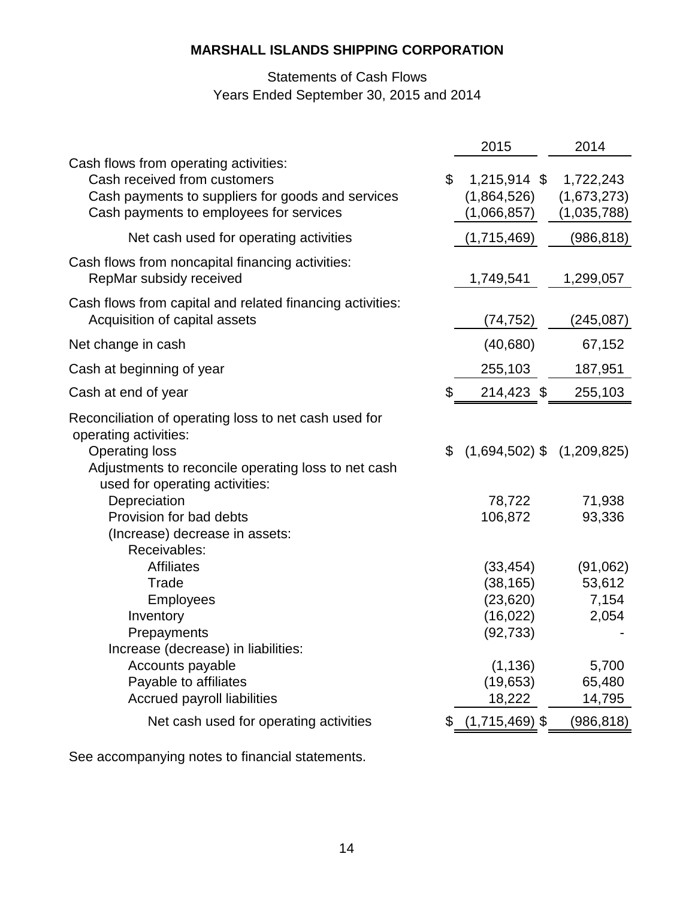# Statements of Cash Flows Years Ended September 30, 2015 and 2014

|                                                                                                                                                                                                                  | 2015                                                          | 2014                                    |
|------------------------------------------------------------------------------------------------------------------------------------------------------------------------------------------------------------------|---------------------------------------------------------------|-----------------------------------------|
| Cash flows from operating activities:<br>Cash received from customers<br>Cash payments to suppliers for goods and services<br>Cash payments to employees for services                                            | \$<br>1,215,914 \$<br>(1,864,526)<br>(1,066,857)              | 1,722,243<br>(1,673,273)<br>(1,035,788) |
| Net cash used for operating activities                                                                                                                                                                           | (1,715,469)                                                   | (986, 818)                              |
| Cash flows from noncapital financing activities:<br>RepMar subsidy received                                                                                                                                      | 1,749,541                                                     | 1,299,057                               |
| Cash flows from capital and related financing activities:<br>Acquisition of capital assets                                                                                                                       | (74, 752)                                                     | (245, 087)                              |
| Net change in cash                                                                                                                                                                                               | (40, 680)                                                     | 67,152                                  |
| Cash at beginning of year                                                                                                                                                                                        | 255,103                                                       | 187,951                                 |
| Cash at end of year                                                                                                                                                                                              | \$<br>214,423 \$                                              | 255,103                                 |
| Reconciliation of operating loss to net cash used for<br>operating activities:<br><b>Operating loss</b><br>Adjustments to reconcile operating loss to net cash<br>used for operating activities:<br>Depreciation | \$<br>$(1,694,502)$ \$ $(1,209,825)$<br>78,722                | 71,938                                  |
| Provision for bad debts<br>(Increase) decrease in assets:<br>Receivables:                                                                                                                                        | 106,872                                                       | 93,336                                  |
| <b>Affiliates</b><br>Trade<br>Employees<br>Inventory<br>Prepayments                                                                                                                                              | (33, 454)<br>(38, 165)<br>(23, 620)<br>(16, 022)<br>(92, 733) | (91,062)<br>53,612<br>7,154<br>2,054    |
| Increase (decrease) in liabilities:<br>Accounts payable<br>Payable to affiliates<br>Accrued payroll liabilities                                                                                                  | (1, 136)<br>(19,653)<br>18,222                                | 5,700<br>65,480<br>14,795               |
| Net cash used for operating activities                                                                                                                                                                           | \$<br>$(1,715,469)$ \$                                        | (986, 818)                              |

See accompanying notes to financial statements.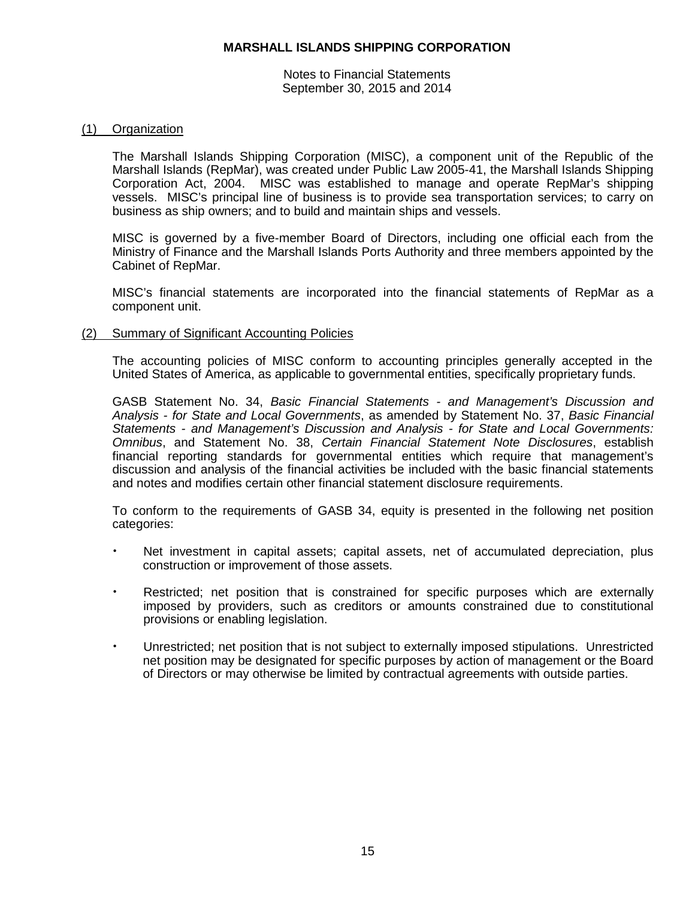Notes to Financial Statements September 30, 2015 and 2014

## (1) Organization

The Marshall Islands Shipping Corporation (MISC), a component unit of the Republic of the Marshall Islands (RepMar), was created under Public Law 2005-41, the Marshall Islands Shipping Corporation Act, 2004. MISC was established to manage and operate RepMar's shipping vessels. MISC's principal line of business is to provide sea transportation services; to carry on business as ship owners; and to build and maintain ships and vessels.

MISC is governed by a five-member Board of Directors, including one official each from the Ministry of Finance and the Marshall Islands Ports Authority and three members appointed by the Cabinet of RepMar.

MISC's financial statements are incorporated into the financial statements of RepMar as a component unit.

## (2) Summary of Significant Accounting Policies

The accounting policies of MISC conform to accounting principles generally accepted in the United States of America, as applicable to governmental entities, specifically proprietary funds.

GASB Statement No. 34, *Basic Financial Statements - and Management's Discussion and Analysis - for State and Local Governments*, as amended by Statement No. 37, *Basic Financial Statements - and Management's Discussion and Analysis - for State and Local Governments: Omnibus*, and Statement No. 38, *Certain Financial Statement Note Disclosures*, establish financial reporting standards for governmental entities which require that management's discussion and analysis of the financial activities be included with the basic financial statements and notes and modifies certain other financial statement disclosure requirements.

To conform to the requirements of GASB 34, equity is presented in the following net position categories:

- Net investment in capital assets; capital assets, net of accumulated depreciation, plus construction or improvement of those assets.
- Restricted; net position that is constrained for specific purposes which are externally imposed by providers, such as creditors or amounts constrained due to constitutional provisions or enabling legislation.
- Unrestricted; net position that is not subject to externally imposed stipulations. Unrestricted net position may be designated for specific purposes by action of management or the Board of Directors or may otherwise be limited by contractual agreements with outside parties.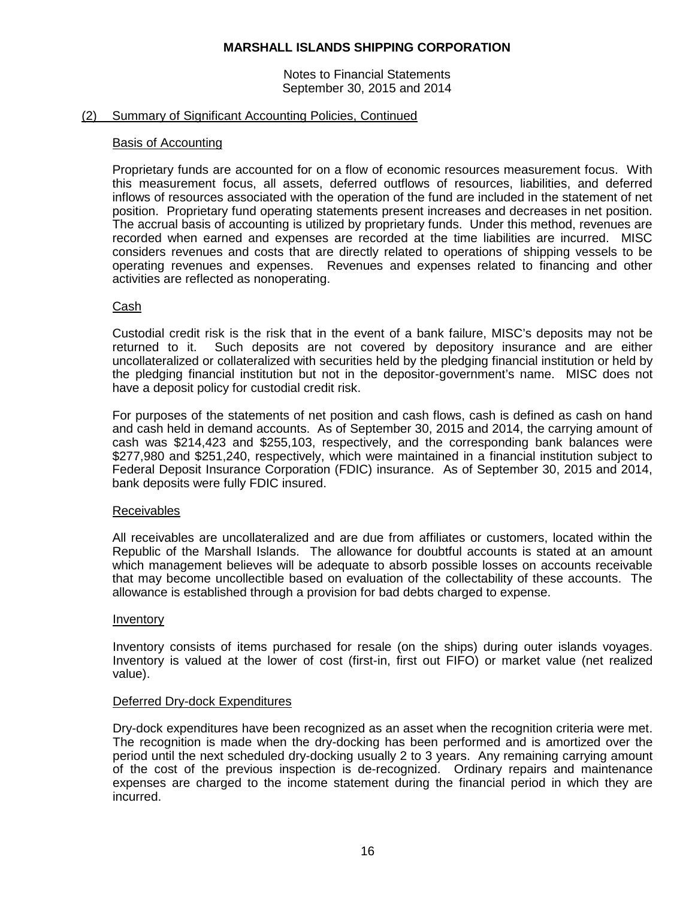Notes to Financial Statements September 30, 2015 and 2014

## (2) Summary of Significant Accounting Policies, Continued

#### Basis of Accounting

Proprietary funds are accounted for on a flow of economic resources measurement focus. With this measurement focus, all assets, deferred outflows of resources, liabilities, and deferred inflows of resources associated with the operation of the fund are included in the statement of net position. Proprietary fund operating statements present increases and decreases in net position. The accrual basis of accounting is utilized by proprietary funds. Under this method, revenues are recorded when earned and expenses are recorded at the time liabilities are incurred. MISC considers revenues and costs that are directly related to operations of shipping vessels to be operating revenues and expenses. Revenues and expenses related to financing and other activities are reflected as nonoperating.

## Cash

Custodial credit risk is the risk that in the event of a bank failure, MISC's deposits may not be returned to it. Such deposits are not covered by depository insurance and are either uncollateralized or collateralized with securities held by the pledging financial institution or held by the pledging financial institution but not in the depositor-government's name. MISC does not have a deposit policy for custodial credit risk.

For purposes of the statements of net position and cash flows, cash is defined as cash on hand and cash held in demand accounts. As of September 30, 2015 and 2014, the carrying amount of cash was \$214,423 and \$255,103, respectively, and the corresponding bank balances were \$277,980 and \$251,240, respectively, which were maintained in a financial institution subject to Federal Deposit Insurance Corporation (FDIC) insurance. As of September 30, 2015 and 2014, bank deposits were fully FDIC insured.

#### Receivables

All receivables are uncollateralized and are due from affiliates or customers, located within the Republic of the Marshall Islands. The allowance for doubtful accounts is stated at an amount which management believes will be adequate to absorb possible losses on accounts receivable that may become uncollectible based on evaluation of the collectability of these accounts. The allowance is established through a provision for bad debts charged to expense.

#### Inventory

Inventory consists of items purchased for resale (on the ships) during outer islands voyages. Inventory is valued at the lower of cost (first-in, first out FIFO) or market value (net realized value).

#### Deferred Dry-dock Expenditures

Dry-dock expenditures have been recognized as an asset when the recognition criteria were met. The recognition is made when the dry-docking has been performed and is amortized over the period until the next scheduled dry-docking usually 2 to 3 years. Any remaining carrying amount of the cost of the previous inspection is de-recognized. Ordinary repairs and maintenance expenses are charged to the income statement during the financial period in which they are incurred.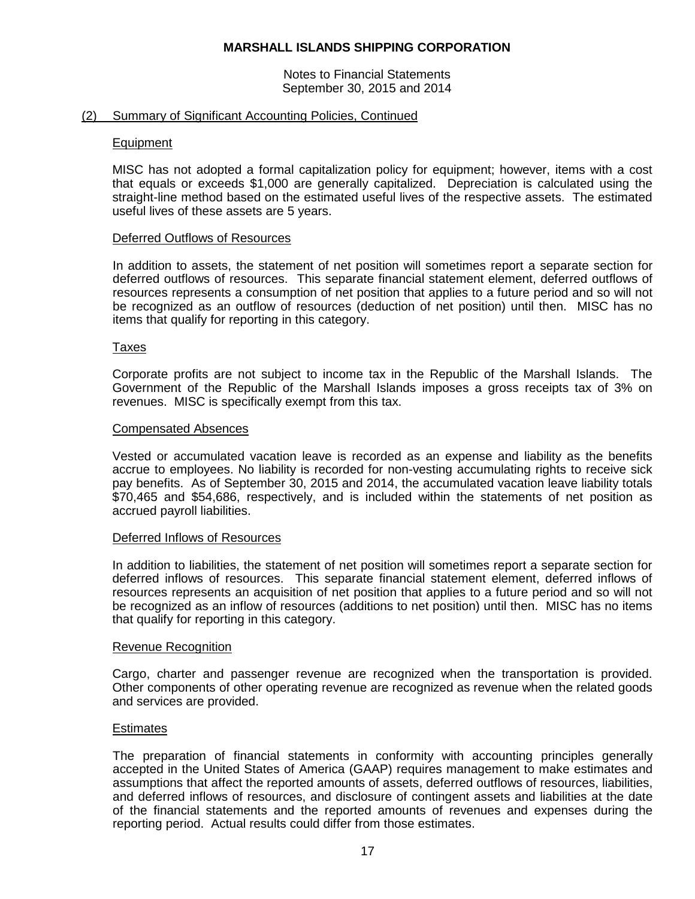Notes to Financial Statements September 30, 2015 and 2014

## (2) Summary of Significant Accounting Policies, Continued

## Equipment

MISC has not adopted a formal capitalization policy for equipment; however, items with a cost that equals or exceeds \$1,000 are generally capitalized. Depreciation is calculated using the straight-line method based on the estimated useful lives of the respective assets. The estimated useful lives of these assets are 5 years.

## Deferred Outflows of Resources

In addition to assets, the statement of net position will sometimes report a separate section for deferred outflows of resources. This separate financial statement element, deferred outflows of resources represents a consumption of net position that applies to a future period and so will not be recognized as an outflow of resources (deduction of net position) until then. MISC has no items that qualify for reporting in this category.

## Taxes

Corporate profits are not subject to income tax in the Republic of the Marshall Islands. The Government of the Republic of the Marshall Islands imposes a gross receipts tax of 3% on revenues. MISC is specifically exempt from this tax.

#### Compensated Absences

Vested or accumulated vacation leave is recorded as an expense and liability as the benefits accrue to employees. No liability is recorded for non-vesting accumulating rights to receive sick pay benefits. As of September 30, 2015 and 2014, the accumulated vacation leave liability totals \$70,465 and \$54,686, respectively, and is included within the statements of net position as accrued payroll liabilities.

#### Deferred Inflows of Resources

In addition to liabilities, the statement of net position will sometimes report a separate section for deferred inflows of resources. This separate financial statement element, deferred inflows of resources represents an acquisition of net position that applies to a future period and so will not be recognized as an inflow of resources (additions to net position) until then. MISC has no items that qualify for reporting in this category.

#### Revenue Recognition

Cargo, charter and passenger revenue are recognized when the transportation is provided. Other components of other operating revenue are recognized as revenue when the related goods and services are provided.

## **Estimates**

The preparation of financial statements in conformity with accounting principles generally accepted in the United States of America (GAAP) requires management to make estimates and assumptions that affect the reported amounts of assets, deferred outflows of resources, liabilities, and deferred inflows of resources, and disclosure of contingent assets and liabilities at the date of the financial statements and the reported amounts of revenues and expenses during the reporting period. Actual results could differ from those estimates.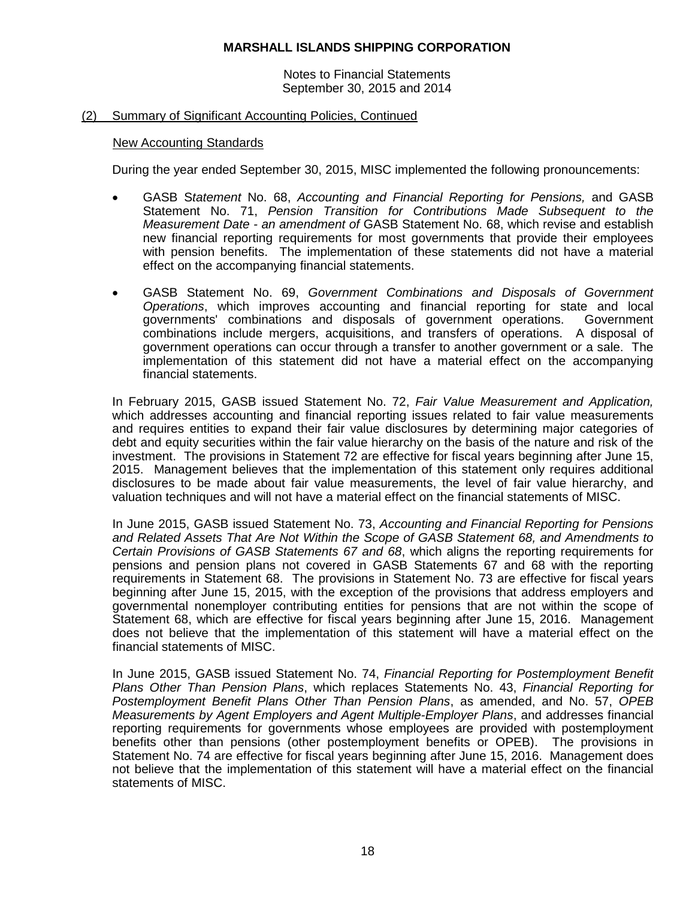Notes to Financial Statements September 30, 2015 and 2014

## (2) Summary of Significant Accounting Policies, Continued

#### New Accounting Standards

During the year ended September 30, 2015, MISC implemented the following pronouncements:

- GASB S*tatement* No. 68, *Accounting and Financial Reporting for Pensions,* and GASB Statement No. 71, *Pension Transition for Contributions Made Subsequent to the Measurement Date - an amendment of* GASB Statement No. 68, which revise and establish new financial reporting requirements for most governments that provide their employees with pension benefits. The implementation of these statements did not have a material effect on the accompanying financial statements.
- GASB Statement No. 69, *Government Combinations and Disposals of Government Operations*, which improves accounting and financial reporting for state and local governments' combinations and disposals of government operations. Government combinations include mergers, acquisitions, and transfers of operations. A disposal of government operations can occur through a transfer to another government or a sale. The implementation of this statement did not have a material effect on the accompanying financial statements.

In February 2015, GASB issued Statement No. 72, *Fair Value Measurement and Application,*  which addresses accounting and financial reporting issues related to fair value measurements and requires entities to expand their fair value disclosures by determining major categories of debt and equity securities within the fair value hierarchy on the basis of the nature and risk of the investment. The provisions in Statement 72 are effective for fiscal years beginning after June 15, 2015. Management believes that the implementation of this statement only requires additional disclosures to be made about fair value measurements, the level of fair value hierarchy, and valuation techniques and will not have a material effect on the financial statements of MISC.

In June 2015, GASB issued Statement No. 73, *Accounting and Financial Reporting for Pensions and Related Assets That Are Not Within the Scope of GASB Statement 68, and Amendments to Certain Provisions of GASB Statements 67 and 68*, which aligns the reporting requirements for pensions and pension plans not covered in GASB Statements 67 and 68 with the reporting requirements in Statement 68. The provisions in Statement No. 73 are effective for fiscal years beginning after June 15, 2015, with the exception of the provisions that address employers and governmental nonemployer contributing entities for pensions that are not within the scope of Statement 68, which are effective for fiscal years beginning after June 15, 2016. Management does not believe that the implementation of this statement will have a material effect on the financial statements of MISC.

In June 2015, GASB issued Statement No. 74, *Financial Reporting for Postemployment Benefit Plans Other Than Pension Plans*, which replaces Statements No. 43, *Financial Reporting for Postemployment Benefit Plans Other Than Pension Plans*, as amended, and No. 57, *OPEB Measurements by Agent Employers and Agent Multiple-Employer Plans*, and addresses financial reporting requirements for governments whose employees are provided with postemployment benefits other than pensions (other postemployment benefits or OPEB). The provisions in Statement No. 74 are effective for fiscal years beginning after June 15, 2016. Management does not believe that the implementation of this statement will have a material effect on the financial statements of MISC.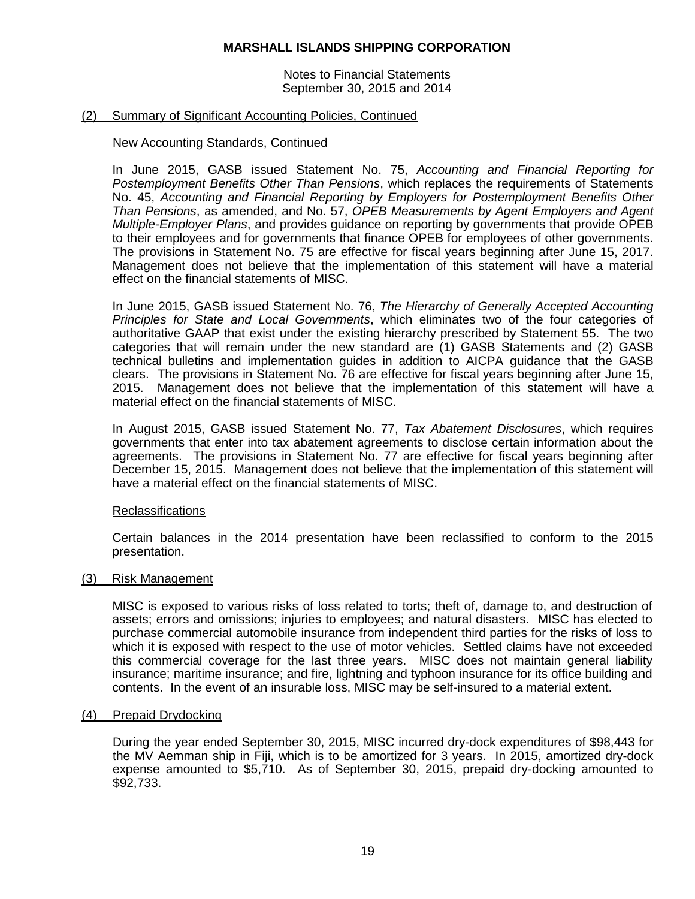Notes to Financial Statements September 30, 2015 and 2014

## (2) Summary of Significant Accounting Policies, Continued

## New Accounting Standards, Continued

In June 2015, GASB issued Statement No. 75, *Accounting and Financial Reporting for Postemployment Benefits Other Than Pensions*, which replaces the requirements of Statements No. 45, *Accounting and Financial Reporting by Employers for Postemployment Benefits Other Than Pensions*, as amended, and No. 57, *OPEB Measurements by Agent Employers and Agent Multiple-Employer Plans*, and provides guidance on reporting by governments that provide OPEB to their employees and for governments that finance OPEB for employees of other governments. The provisions in Statement No. 75 are effective for fiscal years beginning after June 15, 2017. Management does not believe that the implementation of this statement will have a material effect on the financial statements of MISC.

In June 2015, GASB issued Statement No. 76, *The Hierarchy of Generally Accepted Accounting Principles for State and Local Governments*, which eliminates two of the four categories of authoritative GAAP that exist under the existing hierarchy prescribed by Statement 55. The two categories that will remain under the new standard are (1) GASB Statements and (2) GASB technical bulletins and implementation guides in addition to AICPA guidance that the GASB clears. The provisions in Statement No. 76 are effective for fiscal years beginning after June 15, 2015. Management does not believe that the implementation of this statement will have a material effect on the financial statements of MISC.

In August 2015, GASB issued Statement No. 77, *Tax Abatement Disclosures*, which requires governments that enter into tax abatement agreements to disclose certain information about the agreements. The provisions in Statement No. 77 are effective for fiscal years beginning after December 15, 2015. Management does not believe that the implementation of this statement will have a material effect on the financial statements of MISC.

#### Reclassifications

Certain balances in the 2014 presentation have been reclassified to conform to the 2015 presentation.

#### (3) Risk Management

MISC is exposed to various risks of loss related to torts; theft of, damage to, and destruction of assets; errors and omissions; injuries to employees; and natural disasters. MISC has elected to purchase commercial automobile insurance from independent third parties for the risks of loss to which it is exposed with respect to the use of motor vehicles. Settled claims have not exceeded this commercial coverage for the last three years. MISC does not maintain general liability insurance; maritime insurance; and fire, lightning and typhoon insurance for its office building and contents. In the event of an insurable loss, MISC may be self-insured to a material extent.

#### (4) Prepaid Drydocking

During the year ended September 30, 2015, MISC incurred dry-dock expenditures of \$98,443 for the MV Aemman ship in Fiji, which is to be amortized for 3 years. In 2015, amortized dry-dock expense amounted to \$5,710. As of September 30, 2015, prepaid dry-docking amounted to \$92,733.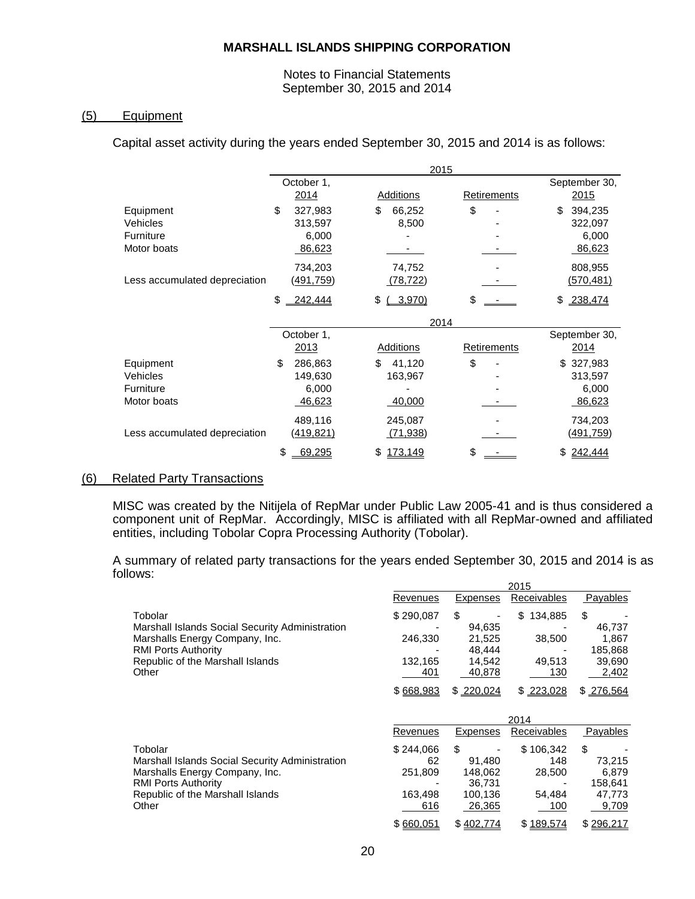## Notes to Financial Statements September 30, 2015 and 2014

# (5) Equipment

Capital asset activity during the years ended September 30, 2015 and 2014 is as follows:

|                               |                  | 2015             |                    |                  |
|-------------------------------|------------------|------------------|--------------------|------------------|
|                               | October 1,       |                  |                    | September 30,    |
|                               | 2014             | Additions        | Retirements        | 2015             |
| Equipment                     | \$<br>327,983    | \$<br>66,252     | \$                 | \$<br>394,235    |
| Vehicles                      | 313,597          | 8,500            |                    | 322,097          |
| Furniture                     | 6.000            |                  |                    | 6,000            |
| Motor boats                   | 86,623           |                  |                    | 86,623           |
|                               | 734,203          | 74,752           |                    | 808,955          |
| Less accumulated depreciation | <u>(491,759)</u> | (78, 722)        |                    | <u>(570,481)</u> |
|                               | \$<br>242,444    | 3,970<br>\$      | \$                 | 238,474<br>\$    |
|                               |                  | 2014             |                    |                  |
|                               | October 1,       |                  |                    | September 30,    |
|                               | 2013             | <b>Additions</b> | <b>Retirements</b> | 2014             |
| Equipment                     | \$<br>286,863    | \$<br>41,120     | \$                 | 327,983<br>\$    |
| Vehicles                      | 149,630          | 163,967          |                    | 313,597          |
| Furniture                     | 6,000            |                  |                    | 6,000            |
| Motor boats                   | 46,623           | 40,000           |                    | 86,623           |
|                               |                  | 245,087          |                    | 734,203          |
|                               | 489,116          |                  |                    |                  |
| Less accumulated depreciation | (419,821)        | <u>(71,938)</u>  |                    | <u>(491,759)</u> |

## (6) Related Party Transactions

MISC was created by the Nitijela of RepMar under Public Law 2005-41 and is thus considered a component unit of RepMar. Accordingly, MISC is affiliated with all RepMar-owned and affiliated entities, including Tobolar Copra Processing Authority (Tobolar).

A summary of related party transactions for the years ended September 30, 2015 and 2014 is as follows: 2015

|                                                 | Revenues  | Expenses  | Receivables   | <b>Payables</b> |
|-------------------------------------------------|-----------|-----------|---------------|-----------------|
| Tobolar                                         | \$290,087 | \$        | \$<br>134,885 | \$              |
| Marshall Islands Social Security Administration |           | 94.635    |               | 46,737          |
| Marshalls Energy Company, Inc.                  | 246,330   | 21,525    | 38,500        | 1,867           |
| <b>RMI Ports Authority</b>                      |           | 48.444    |               | 185,868         |
| Republic of the Marshall Islands                | 132.165   | 14,542    | 49.513        | 39,690          |
| Other                                           | 401       | 40,878    | 130           | 2,402           |
|                                                 | \$668,983 | \$220.024 | \$223,028     | \$276,564       |
|                                                 |           |           | 2014          |                 |
|                                                 | Revenues  | Expenses  | Receivables   | Payables        |
| Tobolar                                         | \$244,066 | \$        | \$106,342     | \$              |
| Marshall Islands Social Security Administration | 62        | 91.480    | 148           | 73,215          |
| Marshalls Energy Company, Inc.                  | 251,809   | 148,062   | 28,500        | 6,879           |
| <b>RMI Ports Authority</b>                      |           | 36,731    |               | 158,641         |
| Republic of the Marshall Islands                | 163,498   | 100,136   | 54,484        | 47,773          |
| Other                                           |           |           |               |                 |
|                                                 | 616       | 26,365    | 100           | 9,709           |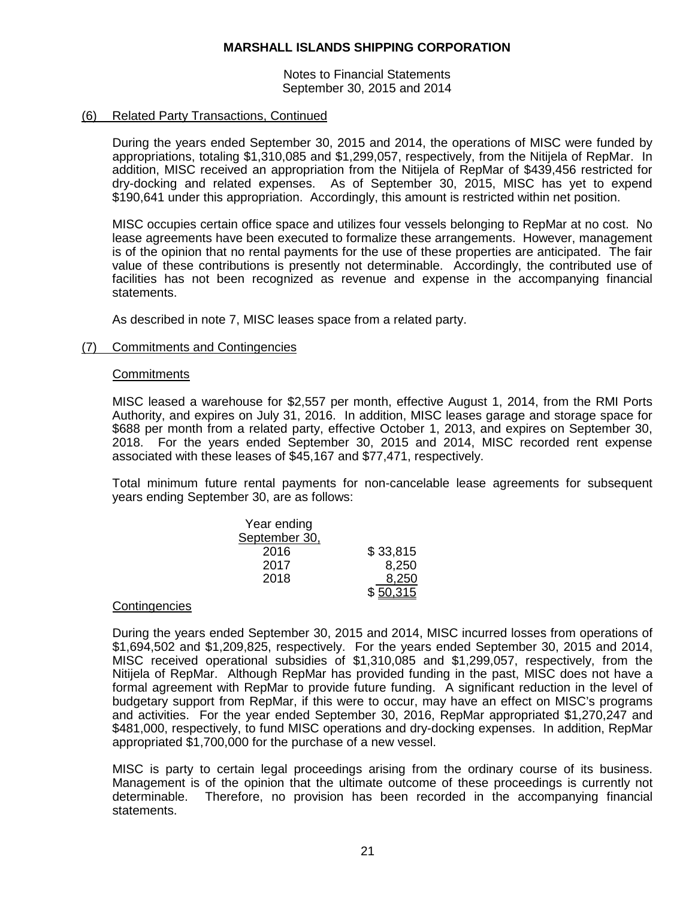Notes to Financial Statements September 30, 2015 and 2014

## (6) Related Party Transactions, Continued

During the years ended September 30, 2015 and 2014, the operations of MISC were funded by appropriations, totaling \$1,310,085 and \$1,299,057, respectively, from the Nitijela of RepMar. In addition, MISC received an appropriation from the Nitijela of RepMar of \$439,456 restricted for dry-docking and related expenses. As of September 30, 2015, MISC has yet to expend \$190,641 under this appropriation. Accordingly, this amount is restricted within net position.

MISC occupies certain office space and utilizes four vessels belonging to RepMar at no cost. No lease agreements have been executed to formalize these arrangements. However, management is of the opinion that no rental payments for the use of these properties are anticipated. The fair value of these contributions is presently not determinable. Accordingly, the contributed use of facilities has not been recognized as revenue and expense in the accompanying financial statements.

As described in note 7, MISC leases space from a related party.

## (7) Commitments and Contingencies

## **Commitments**

MISC leased a warehouse for \$2,557 per month, effective August 1, 2014, from the RMI Ports Authority, and expires on July 31, 2016. In addition, MISC leases garage and storage space for \$688 per month from a related party, effective October 1, 2013, and expires on September 30, 2018. For the years ended September 30, 2015 and 2014, MISC recorded rent expense associated with these leases of \$45,167 and \$77,471, respectively.

Total minimum future rental payments for non-cancelable lease agreements for subsequent years ending September 30, are as follows:

| Year ending   |          |
|---------------|----------|
| September 30, |          |
| 2016          | \$33,815 |
| 2017          | 8,250    |
| 2018          | 8,250    |
|               | \$50,315 |

### **Contingencies**

During the years ended September 30, 2015 and 2014, MISC incurred losses from operations of \$1,694,502 and \$1,209,825, respectively. For the years ended September 30, 2015 and 2014, MISC received operational subsidies of \$1,310,085 and \$1,299,057, respectively, from the Nitijela of RepMar. Although RepMar has provided funding in the past, MISC does not have a formal agreement with RepMar to provide future funding. A significant reduction in the level of budgetary support from RepMar, if this were to occur, may have an effect on MISC's programs and activities. For the year ended September 30, 2016, RepMar appropriated \$1,270,247 and \$481,000, respectively, to fund MISC operations and dry-docking expenses. In addition, RepMar appropriated \$1,700,000 for the purchase of a new vessel.

MISC is party to certain legal proceedings arising from the ordinary course of its business. Management is of the opinion that the ultimate outcome of these proceedings is currently not determinable. Therefore, no provision has been recorded in the accompanying financial statements.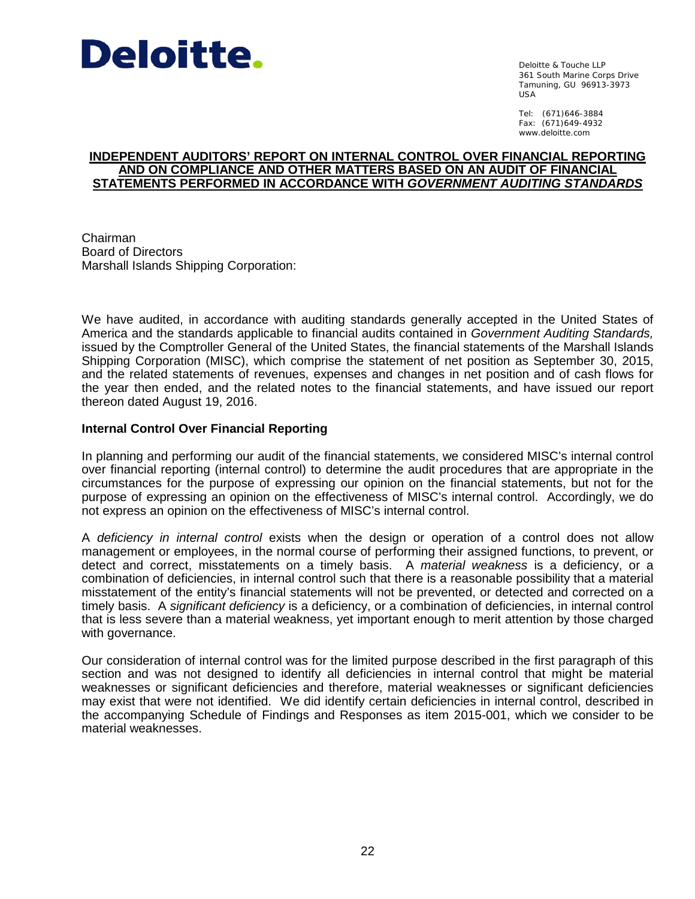

Deloitte & Touche LLP 361 South Marine Corps Drive Tamuning, GU 96913-3973 USA

Tel: (671)646-3884 Fax: (671)649-4932 www.deloitte.com

## **INDEPENDENT AUDITORS' REPORT ON INTERNAL CONTROL OVER FINANCIAL REPORTING AND ON COMPLIANCE AND OTHER MATTERS BASED ON AN AUDIT OF FINANCIAL STATEMENTS PERFORMED IN ACCORDANCE WITH** *GOVERNMENT AUDITING STANDARDS*

Chairman Board of Directors Marshall Islands Shipping Corporation:

We have audited, in accordance with auditing standards generally accepted in the United States of America and the standards applicable to financial audits contained in *Government Auditing Standards,* issued by the Comptroller General of the United States, the financial statements of the Marshall Islands Shipping Corporation (MISC), which comprise the statement of net position as September 30, 2015, and the related statements of revenues, expenses and changes in net position and of cash flows for the year then ended, and the related notes to the financial statements, and have issued our report thereon dated August 19, 2016.

# **Internal Control Over Financial Reporting**

In planning and performing our audit of the financial statements, we considered MISC's internal control over financial reporting (internal control) to determine the audit procedures that are appropriate in the circumstances for the purpose of expressing our opinion on the financial statements, but not for the purpose of expressing an opinion on the effectiveness of MISC's internal control. Accordingly, we do not express an opinion on the effectiveness of MISC's internal control.

A *deficiency in internal control* exists when the design or operation of a control does not allow management or employees, in the normal course of performing their assigned functions, to prevent, or detect and correct, misstatements on a timely basis. A *material weakness* is a deficiency, or a combination of deficiencies, in internal control such that there is a reasonable possibility that a material misstatement of the entity's financial statements will not be prevented, or detected and corrected on a timely basis. A *significant deficiency* is a deficiency, or a combination of deficiencies, in internal control that is less severe than a material weakness, yet important enough to merit attention by those charged with governance.

Our consideration of internal control was for the limited purpose described in the first paragraph of this section and was not designed to identify all deficiencies in internal control that might be material weaknesses or significant deficiencies and therefore, material weaknesses or significant deficiencies may exist that were not identified. We did identify certain deficiencies in internal control, described in the accompanying Schedule of Findings and Responses as item 2015-001, which we consider to be material weaknesses.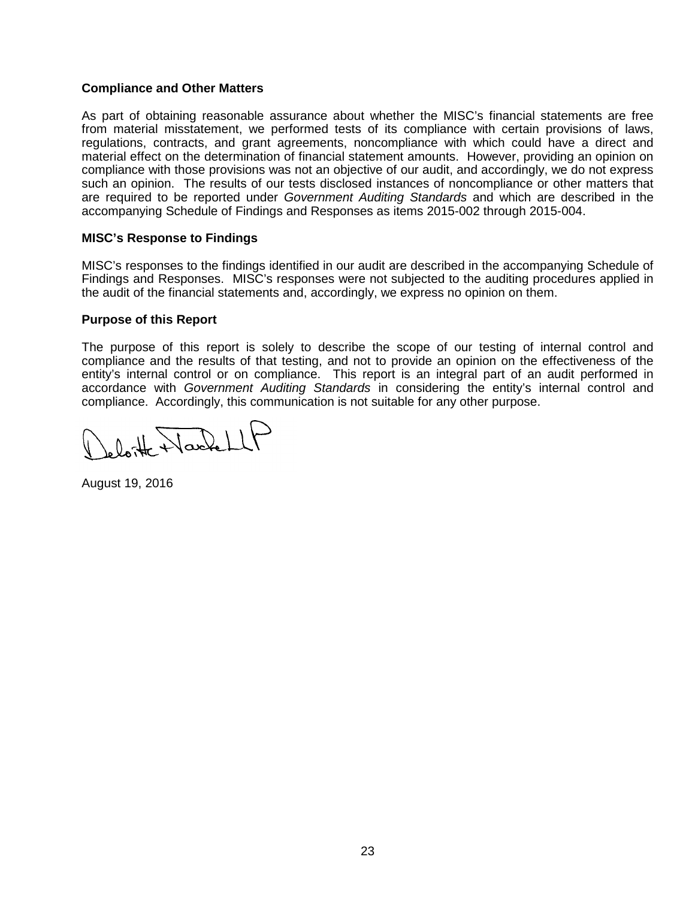## **Compliance and Other Matters**

As part of obtaining reasonable assurance about whether the MISC's financial statements are free from material misstatement, we performed tests of its compliance with certain provisions of laws, regulations, contracts, and grant agreements, noncompliance with which could have a direct and material effect on the determination of financial statement amounts. However, providing an opinion on compliance with those provisions was not an objective of our audit, and accordingly, we do not express such an opinion. The results of our tests disclosed instances of noncompliance or other matters that are required to be reported under *Government Auditing Standards* and which are described in the accompanying Schedule of Findings and Responses as items 2015-002 through 2015-004.

# **MISC's Response to Findings**

MISC's responses to the findings identified in our audit are described in the accompanying Schedule of Findings and Responses. MISC's responses were not subjected to the auditing procedures applied in the audit of the financial statements and, accordingly, we express no opinion on them.

## **Purpose of this Report**

The purpose of this report is solely to describe the scope of our testing of internal control and compliance and the results of that testing, and not to provide an opinion on the effectiveness of the entity's internal control or on compliance. This report is an integral part of an audit performed in accordance with *Government Auditing Standards* in considering the entity's internal control and compliance. Accordingly, this communication is not suitable for any other purpose.

o loite Nachellt

August 19, 2016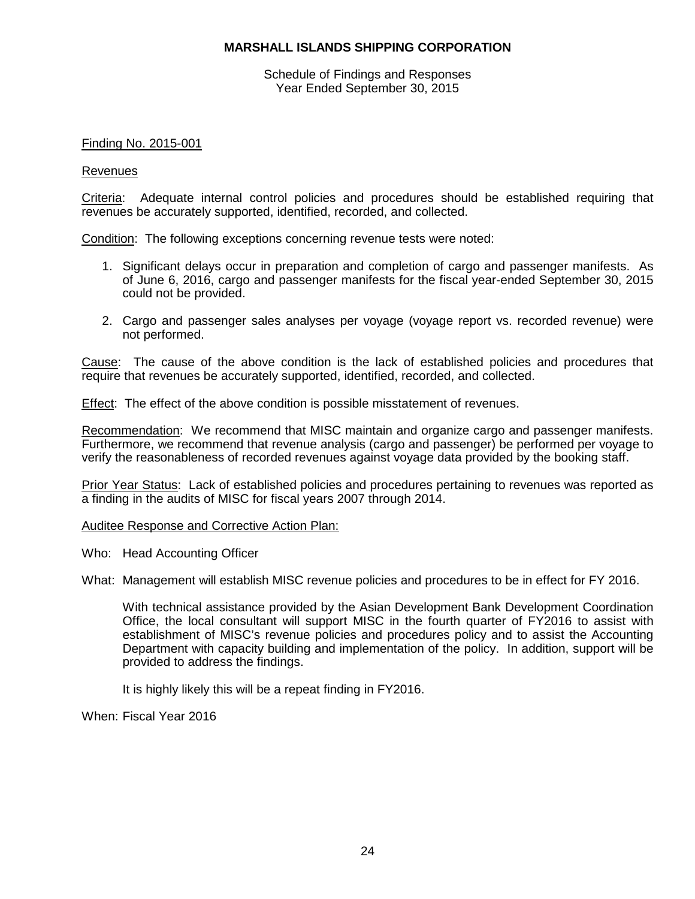Schedule of Findings and Responses Year Ended September 30, 2015

## Finding No. 2015-001

#### Revenues

Criteria: Adequate internal control policies and procedures should be established requiring that revenues be accurately supported, identified, recorded, and collected.

Condition: The following exceptions concerning revenue tests were noted:

- 1. Significant delays occur in preparation and completion of cargo and passenger manifests. As of June 6, 2016, cargo and passenger manifests for the fiscal year-ended September 30, 2015 could not be provided.
- 2. Cargo and passenger sales analyses per voyage (voyage report vs. recorded revenue) were not performed.

Cause: The cause of the above condition is the lack of established policies and procedures that require that revenues be accurately supported, identified, recorded, and collected.

Effect: The effect of the above condition is possible misstatement of revenues.

Recommendation: We recommend that MISC maintain and organize cargo and passenger manifests. Furthermore, we recommend that revenue analysis (cargo and passenger) be performed per voyage to verify the reasonableness of recorded revenues against voyage data provided by the booking staff.

Prior Year Status: Lack of established policies and procedures pertaining to revenues was reported as a finding in the audits of MISC for fiscal years 2007 through 2014.

#### Auditee Response and Corrective Action Plan:

Who: Head Accounting Officer

What: Management will establish MISC revenue policies and procedures to be in effect for FY 2016.

With technical assistance provided by the Asian Development Bank Development Coordination Office, the local consultant will support MISC in the fourth quarter of FY2016 to assist with establishment of MISC's revenue policies and procedures policy and to assist the Accounting Department with capacity building and implementation of the policy. In addition, support will be provided to address the findings.

It is highly likely this will be a repeat finding in FY2016.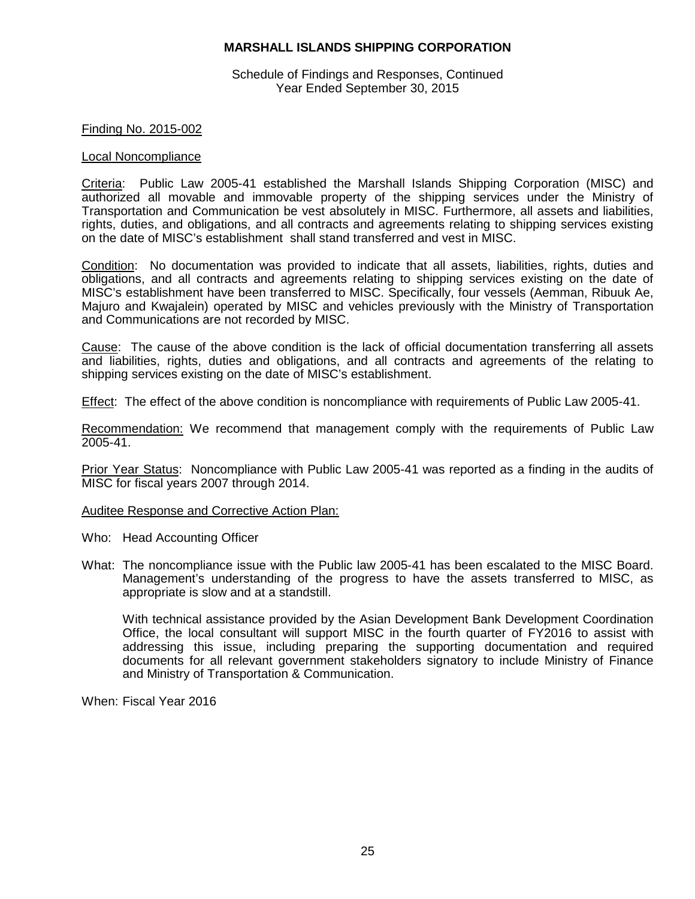Schedule of Findings and Responses, Continued Year Ended September 30, 2015

## Finding No. 2015-002

#### Local Noncompliance

Criteria: Public Law 2005-41 established the Marshall Islands Shipping Corporation (MISC) and authorized all movable and immovable property of the shipping services under the Ministry of Transportation and Communication be vest absolutely in MISC. Furthermore, all assets and liabilities, rights, duties, and obligations, and all contracts and agreements relating to shipping services existing on the date of MISC's establishment shall stand transferred and vest in MISC.

Condition: No documentation was provided to indicate that all assets, liabilities, rights, duties and obligations, and all contracts and agreements relating to shipping services existing on the date of MISC's establishment have been transferred to MISC. Specifically, four vessels (Aemman, Ribuuk Ae, Majuro and Kwajalein) operated by MISC and vehicles previously with the Ministry of Transportation and Communications are not recorded by MISC.

Cause: The cause of the above condition is the lack of official documentation transferring all assets and liabilities, rights, duties and obligations, and all contracts and agreements of the relating to shipping services existing on the date of MISC's establishment.

Effect: The effect of the above condition is noncompliance with requirements of Public Law 2005-41.

Recommendation: We recommend that management comply with the requirements of Public Law 2005-41.

Prior Year Status: Noncompliance with Public Law 2005-41 was reported as a finding in the audits of MISC for fiscal years 2007 through 2014.

#### Auditee Response and Corrective Action Plan:

- Who: Head Accounting Officer
- What: The noncompliance issue with the Public law 2005-41 has been escalated to the MISC Board. Management's understanding of the progress to have the assets transferred to MISC, as appropriate is slow and at a standstill.

With technical assistance provided by the Asian Development Bank Development Coordination Office, the local consultant will support MISC in the fourth quarter of FY2016 to assist with addressing this issue, including preparing the supporting documentation and required documents for all relevant government stakeholders signatory to include Ministry of Finance and Ministry of Transportation & Communication.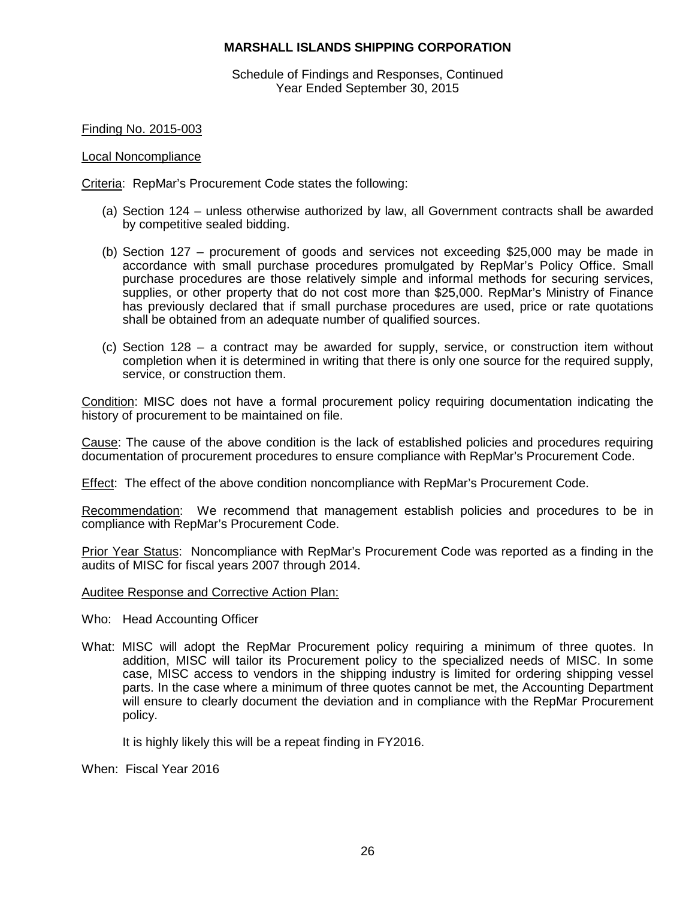Schedule of Findings and Responses, Continued Year Ended September 30, 2015

Finding No. 2015-003

## Local Noncompliance

Criteria: RepMar's Procurement Code states the following:

- (a) Section 124 unless otherwise authorized by law, all Government contracts shall be awarded by competitive sealed bidding.
- (b) Section 127 procurement of goods and services not exceeding \$25,000 may be made in accordance with small purchase procedures promulgated by RepMar's Policy Office. Small purchase procedures are those relatively simple and informal methods for securing services, supplies, or other property that do not cost more than \$25,000. RepMar's Ministry of Finance has previously declared that if small purchase procedures are used, price or rate quotations shall be obtained from an adequate number of qualified sources.
- (c) Section 128 a contract may be awarded for supply, service, or construction item without completion when it is determined in writing that there is only one source for the required supply, service, or construction them.

Condition: MISC does not have a formal procurement policy requiring documentation indicating the history of procurement to be maintained on file.

Cause: The cause of the above condition is the lack of established policies and procedures requiring documentation of procurement procedures to ensure compliance with RepMar's Procurement Code.

Effect: The effect of the above condition noncompliance with RepMar's Procurement Code.

Recommendation: We recommend that management establish policies and procedures to be in compliance with RepMar's Procurement Code.

Prior Year Status: Noncompliance with RepMar's Procurement Code was reported as a finding in the audits of MISC for fiscal years 2007 through 2014.

Auditee Response and Corrective Action Plan:

- Who: Head Accounting Officer
- What: MISC will adopt the RepMar Procurement policy requiring a minimum of three quotes. In addition, MISC will tailor its Procurement policy to the specialized needs of MISC. In some case, MISC access to vendors in the shipping industry is limited for ordering shipping vessel parts. In the case where a minimum of three quotes cannot be met, the Accounting Department will ensure to clearly document the deviation and in compliance with the RepMar Procurement policy.

It is highly likely this will be a repeat finding in FY2016.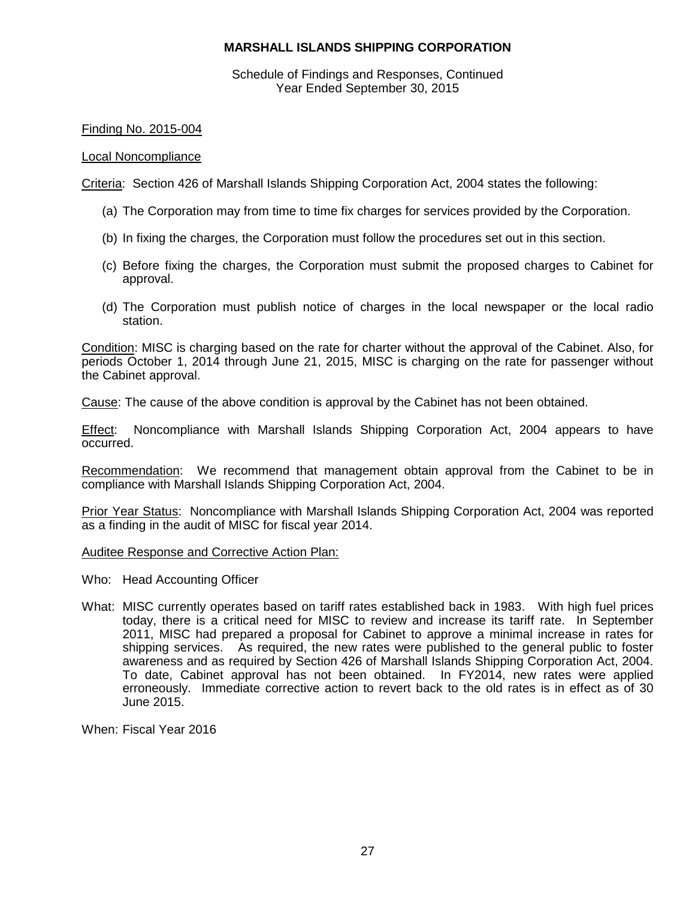Schedule of Findings and Responses, Continued Year Ended September 30, 2015

## Finding No. 2015-004

#### Local Noncompliance

Criteria: Section 426 of Marshall Islands Shipping Corporation Act, 2004 states the following:

- (a) The Corporation may from time to time fix charges for services provided by the Corporation.
- (b) In fixing the charges, the Corporation must follow the procedures set out in this section.
- (c) Before fixing the charges, the Corporation must submit the proposed charges to Cabinet for approval.
- (d) The Corporation must publish notice of charges in the local newspaper or the local radio station.

Condition: MISC is charging based on the rate for charter without the approval of the Cabinet. Also, for periods October 1, 2014 through June 21, 2015, MISC is charging on the rate for passenger without the Cabinet approval.

Cause: The cause of the above condition is approval by the Cabinet has not been obtained.

Effect: Noncompliance with Marshall Islands Shipping Corporation Act, 2004 appears to have occurred.

Recommendation: We recommend that management obtain approval from the Cabinet to be in compliance with Marshall Islands Shipping Corporation Act, 2004.

Prior Year Status: Noncompliance with Marshall Islands Shipping Corporation Act, 2004 was reported as a finding in the audit of MISC for fiscal year 2014.

#### Auditee Response and Corrective Action Plan:

- Who: Head Accounting Officer
- What: MISC currently operates based on tariff rates established back in 1983. With high fuel prices today, there is a critical need for MISC to review and increase its tariff rate. In September 2011, MISC had prepared a proposal for Cabinet to approve a minimal increase in rates for shipping services. As required, the new rates were published to the general public to foster awareness and as required by Section 426 of Marshall Islands Shipping Corporation Act, 2004. To date, Cabinet approval has not been obtained. In FY2014, new rates were applied erroneously. Immediate corrective action to revert back to the old rates is in effect as of 30 June 2015.